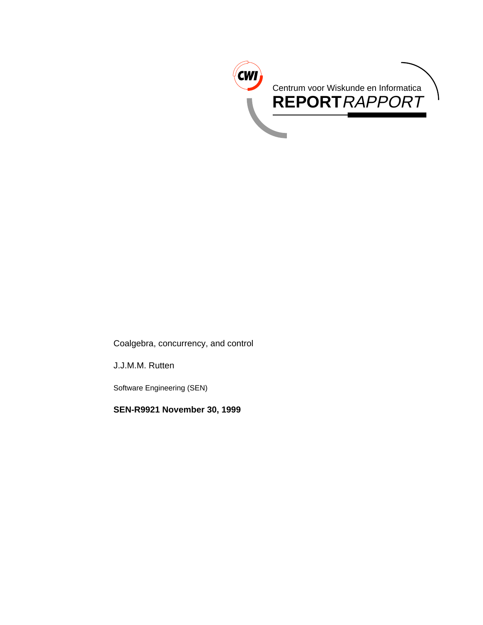

Coalgebra, concurrency, and control

J.J.M.M. Rutten

Software Engineering (SEN)

**SEN-R9921 November 30, 1999**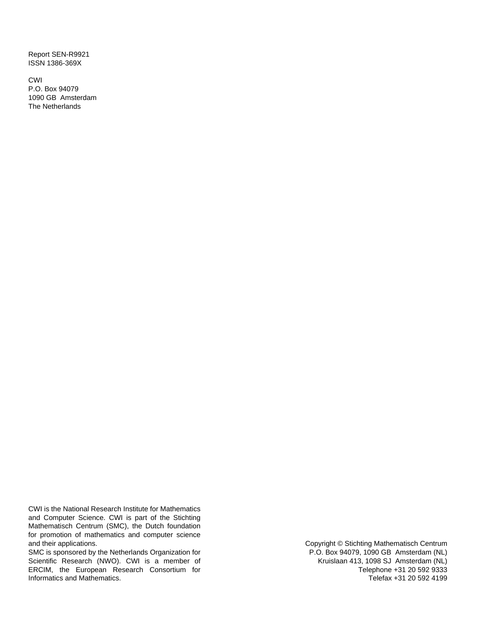Report SEN-R9921 ISSN 1386-369X

CWI P.O. Box 94079 1090 GB Amsterdam The Netherlands

CWI is the National Research Institute for Mathematics and Computer Science. CWI is part of the Stichting Mathematisch Centrum (SMC), the Dutch foundation for promotion of mathematics and computer science and their applications.

SMC is sponsored by the Netherlands Organization for Scientific Research (NWO). CWI is a member of ERCIM, the European Research Consortium for Informatics and Mathematics.

Copyright © Stichting Mathematisch Centrum P.O. Box 94079, 1090 GB Amsterdam (NL) Kruislaan 413, 1098 SJ Amsterdam (NL) Telephone +31 20 592 9333 Telefax +31 20 592 4199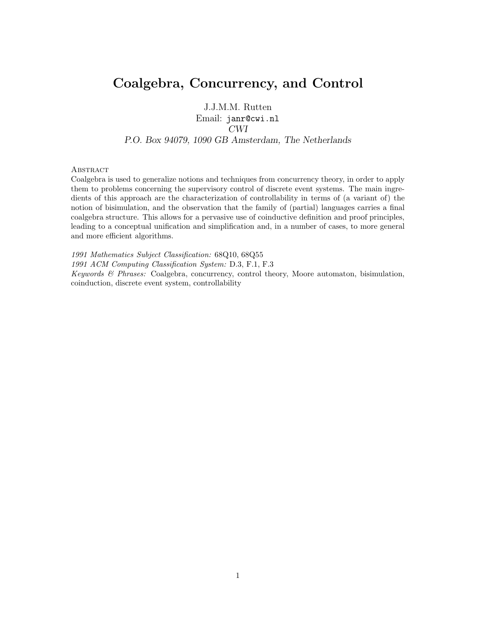# **Coalgebra, Concurrency, and Control**

J.J.M.M. Rutten

Email: janr@cwi.nl *CWI P.O. Box 94079, 1090 GB Amsterdam, The Netherlands*

#### **ABSTRACT**

Coalgebra is used to generalize notions and techniques from concurrency theory, in order to apply them to problems concerning the supervisory control of discrete event systems. The main ingredients of this approach are the characterization of controllability in terms of (a variant of) the notion of bisimulation, and the observation that the family of (partial) languages carries a final coalgebra structure. This allows for a pervasive use of coinductive definition and proof principles, leading to a conceptual unification and simplification and, in a number of cases, to more general and more efficient algorithms.

1991 Mathematics Subject Classification: 68Q10, 68Q55 1991 ACM Computing Classification System: D.3, F.1, F.3 Keywords & Phrases: Coalgebra, concurrency, control theory, Moore automaton, bisimulation, coinduction, discrete event system, controllability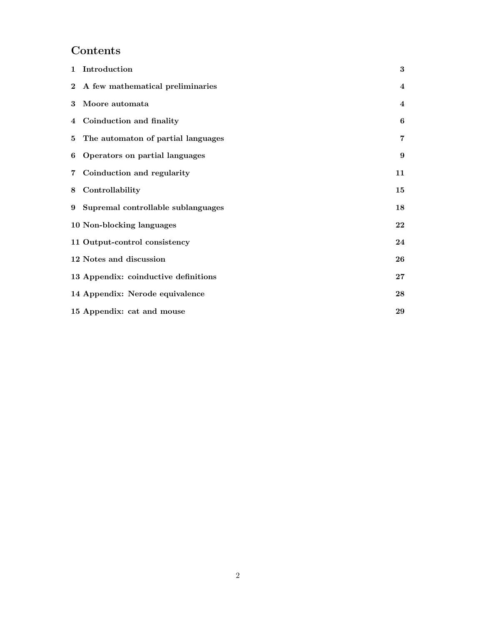# **Contents**

|                | 1 Introduction                       | 3                       |
|----------------|--------------------------------------|-------------------------|
|                | 2 A few mathematical preliminaries   | $\overline{\mathbf{4}}$ |
| 3              | Moore automata                       | $\overline{\mathbf{4}}$ |
|                | 4 Coinduction and finality           | 6                       |
|                | 5 The automaton of partial languages | 7                       |
| 6              | Operators on partial languages       | 9                       |
| $\overline{7}$ | Coinduction and regularity           | 11                      |
| 8              | Controllability                      | 15                      |
|                | 9 Supremal controllable sublanguages | 18                      |
|                | 10 Non-blocking languages            | 22                      |
|                | 11 Output-control consistency        | 24                      |
|                | 12 Notes and discussion              | 26                      |
|                | 13 Appendix: coinductive definitions | $27\,$                  |
|                | 14 Appendix: Nerode equivalence      | 28                      |
|                | 15 Appendix: cat and mouse           | 29                      |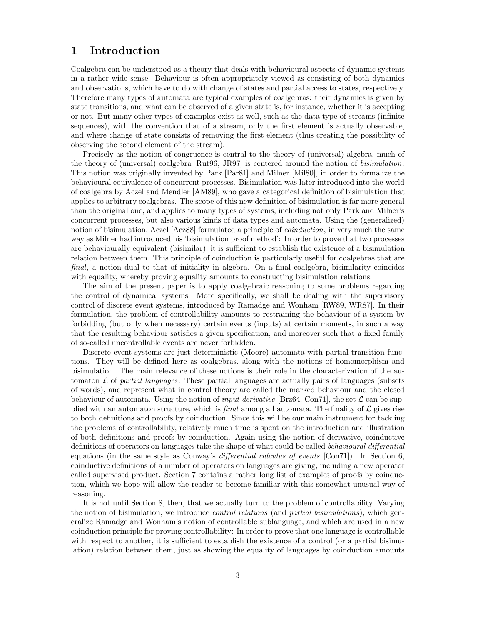### **1 Introduction**

Coalgebra can be understood as a theory that deals with behavioural aspects of dynamic systems in a rather wide sense. Behaviour is often appropriately viewed as consisting of both dynamics and observations, which have to do with change of states and partial access to states, respectively. Therefore many types of automata are typical examples of coalgebras: their dynamics is given by state transitions, and what can be observed of a given state is, for instance, whether it is accepting or not. But many other types of examples exist as well, such as the data type of streams (infinite sequences), with the convention that of a stream, only the first element is actually observable, and where change of state consists of removing the first element (thus creating the possibility of observing the second element of the stream).

Precisely as the notion of congruence is central to the theory of (universal) algebra, much of the theory of (universal) coalgebra [Rut96, JR97] is centered around the notion of bisimulation. This notion was originally invented by Park [Par81] and Milner [Mil80], in order to formalize the behavioural equivalence of concurrent processes. Bisimulation was later introduced into the world of coalgebra by Aczel and Mendler [AM89], who gave a categorical definition of bisimulation that applies to arbitrary coalgebras. The scope of this new definition of bisimulation is far more general than the original one, and applies to many types of systems, including not only Park and Milner's concurrent processes, but also various kinds of data types and automata. Using the (generalized) notion of bisimulation, Aczel [Acz88] formulated a principle of *coinduction*, in very much the same way as Milner had introduced his 'bisimulation proof method': In order to prove that two processes are behaviourally equivalent (bisimilar), it is sufficient to establish the existence of a bisimulation relation between them. This principle of coinduction is particularly useful for coalgebras that are final, a notion dual to that of initiality in algebra. On a final coalgebra, bisimilarity coincides with equality, whereby proving equality amounts to constructing bisimulation relations.

The aim of the present paper is to apply coalgebraic reasoning to some problems regarding the control of dynamical systems. More specifically, we shall be dealing with the supervisory control of discrete event systems, introduced by Ramadge and Wonham [RW89, WR87]. In their formulation, the problem of controllability amounts to restraining the behaviour of a system by forbidding (but only when necessary) certain events (inputs) at certain moments, in such a way that the resulting behaviour satisfies a given specification, and moreover such that a fixed family of so-called uncontrollable events are never forbidden.

Discrete event systems are just deterministic (Moore) automata with partial transition functions. They will be defined here as coalgebras, along with the notions of homomorphism and bisimulation. The main relevance of these notions is their role in the characterization of the automaton  $\mathcal L$  of partial languages. These partial languages are actually pairs of languages (subsets of words), and represent what in control theory are called the marked behaviour and the closed behaviour of automata. Using the notion of *input derivative* [Brz64, Con71], the set  $\mathcal L$  can be supplied with an automaton structure, which is *final* among all automata. The finality of  $\mathcal{L}$  gives rise to both definitions and proofs by coinduction. Since this will be our main instrument for tackling the problems of controllability, relatively much time is spent on the introduction and illustration of both definitions and proofs by coinduction. Again using the notion of derivative, coinductive definitions of operators on languages take the shape of what could be called *behavioural differential* equations (in the same style as Conway's differential calculus of events [Con71]). In Section 6, coinductive definitions of a number of operators on languages are giving, including a new operator called supervised product. Section 7 contains a rather long list of examples of proofs by coinduction, which we hope will allow the reader to become familiar with this somewhat unusual way of reasoning.

It is not until Section 8, then, that we actually turn to the problem of controllability. Varying the notion of bisimulation, we introduce *control relations* (and *partial bisimulations*), which generalize Ramadge and Wonham's notion of controllable sublanguage, and which are used in a new coinduction principle for proving controllability: In order to prove that one language is controllable with respect to another, it is sufficient to establish the existence of a control (or a partial bisimulation) relation between them, just as showing the equality of languages by coinduction amounts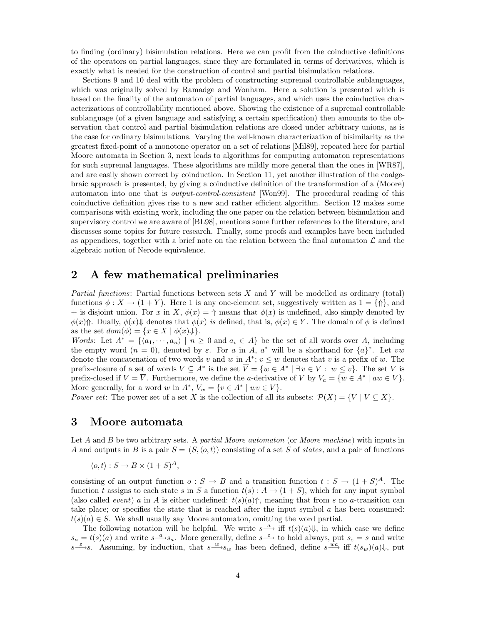to finding (ordinary) bisimulation relations. Here we can profit from the coinductive definitions of the operators on partial languages, since they are formulated in terms of derivatives, which is exactly what is needed for the construction of control and partial bisimulation relations.

Sections 9 and 10 deal with the problem of constructing supremal controllable sublanguages, which was originally solved by Ramadge and Wonham. Here a solution is presented which is based on the finality of the automaton of partial languages, and which uses the coinductive characterizations of controllability mentioned above. Showing the existence of a supremal controllable sublanguage (of a given language and satisfying a certain specification) then amounts to the observation that control and partial bisimulation relations are closed under arbitrary unions, as is the case for ordinary bisimulations. Varying the well-known characterization of bisimilarity as the greatest fixed-point of a monotone operator on a set of relations [Mil89], repeated here for partial Moore automata in Section 3, next leads to algorithms for computing automaton representations for such supremal languages. These algorithms are mildly more general than the ones in [WR87], and are easily shown correct by coinduction. In Section 11, yet another illustration of the coalgebraic approach is presented, by giving a coinductive definition of the transformation of a (Moore) automaton into one that is output-control-consistent [Won99]. The procedural reading of this coinductive definition gives rise to a new and rather efficient algorithm. Section 12 makes some comparisons with existing work, including the one paper on the relation between bisimulation and supervisory control we are aware of [BL98], mentions some further references to the literature, and discusses some topics for future research. Finally, some proofs and examples have been included as appendices, together with a brief note on the relation between the final automaton  $\mathcal L$  and the algebraic notion of Nerode equivalence.

# **2 A few mathematical preliminaries**

*Partial functions:* Partial functions between sets X and Y will be modelled as ordinary (total) functions  $\phi: X \to (1+Y)$ . Here 1 is any one-element set, suggestively written as  $1 = \{\uparrow\}$ , and + is disjoint union. For x in X,  $\phi(x) = \uparrow$  means that  $\phi(x)$  is undefined, also simply denoted by  $\phi(x)\$ <sup>1</sup>. Dually,  $\phi(x)\Downarrow$  denotes that  $\phi(x)$  is defined, that is,  $\phi(x) \in Y$ . The domain of  $\phi$  is defined as the set  $dom(\phi) = \{x \in X \mid \phi(x)\Downarrow\}.$ 

Words: Let  $A^* = \{ \langle a_1, \dots, a_n \rangle \mid n \geq 0 \text{ and } a_i \in A \}$  be the set of all words over A, including the empty word  $(n = 0)$ , denoted by  $\varepsilon$ . For a in A, a<sup>\*</sup> will be a shorthand for  $\{a\}^*$ . Let vw denote the concatenation of two words v and w in  $A^*$ ;  $v \leq w$  denotes that v is a prefix of w. The prefix-closure of a set of words  $V \subseteq A^*$  is the set  $\overline{V} = \{w \in A^* \mid \exists v \in V : w \leq v\}$ . The set V is prefix-closed if  $V = \overline{V}$ . Furthermore, we define the *a*-derivative of V by  $V_a = \{w \in A^* \mid aw \in V\}$ . More generally, for a word w in  $A^*$ ,  $V_w = \{v \in A^* \mid wv \in V\}.$ 

Power set: The power set of a set X is the collection of all its subsets:  $\mathcal{P}(X) = \{V | V \subseteq X\}$ .

# **3 Moore automata**

Let A and B be two arbitrary sets. A partial Moore automaton (or Moore machine) with inputs in A and outputs in B is a pair  $S = (S, \langle o, t \rangle)$  consisting of a set S of states, and a pair of functions

$$
\langle o, t \rangle : S \to B \times (1+S)^A,
$$

consisting of an output function  $o: S \to B$  and a transition function  $t: S \to (1+S)^A$ . The function t assigns to each state s in S a function  $t(s)$ :  $A \rightarrow (1+S)$ , which for any input symbol (also called *event*) a in A is either undefined:  $t(s)(a)$ <sup> $\uparrow$ </sup>, meaning that from s no a-transition can take place; or specifies the state that is reached after the input symbol  $\alpha$  has been consumed:  $t(s)(a) \in S$ . We shall usually say Moore automaton, omitting the word partial.

The following notation will be helpful. We write  $s \stackrel{a}{\longrightarrow}$  iff  $t(s)(a)\Downarrow$ , in which case we define  $s_a = t(s)(a)$  and write  $s \stackrel{a}{\longrightarrow} s_a$ . More generally, define  $s \stackrel{\varepsilon}{\longrightarrow}$  to hold always, put  $s_{\varepsilon} = s$  and write  $s \xrightarrow{\varepsilon} s$ . Assuming, by induction, that  $s \xrightarrow{w} s_w$  has been defined, define  $s \xrightarrow{wa}$  iff  $t(s_w)(a)\Downarrow$ , put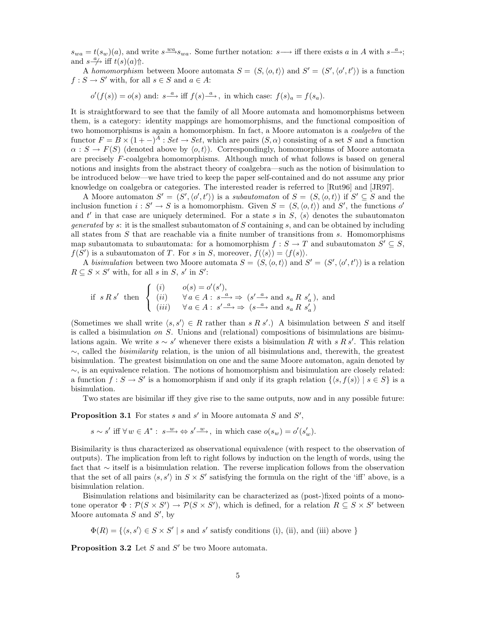$s_{wa} = t(s_w)(a)$ , and write  $s \stackrel{wa}{\longrightarrow} s_{wa}$ . Some further notation:  $s \longrightarrow$  iff there exists a in A with  $s \stackrel{a}{\longrightarrow}$ ; and  $s \stackrel{a}{\longrightarrow}$  iff  $t(s)(a)$ <sup> $\Uparrow$ </sup>.

A homomorphism between Moore automata  $S = (S, \langle o, t \rangle)$  and  $S' = (S', \langle o', t' \rangle)$  is a function  $f : S \to S'$  with, for all  $s \in S$  and  $a \in A$ :

 $o'(f(s)) = o(s)$  and:  $s \stackrel{a}{\longrightarrow}$  iff  $f(s) \stackrel{a}{\longrightarrow}$ , in which case:  $f(s)_a = f(s_a)$ .

It is straightforward to see that the family of all Moore automata and homomorphisms between them, is a category: identity mappings are homomorphisms, and the functional composition of two homomorphisms is again a homomorphism. In fact, a Moore automaton is a *coalgebra* of the functor  $F = B \times (1 - A)^A$ : Set  $\rightarrow$  Set, which are pairs  $(S, \alpha)$  consisting of a set S and a function  $\alpha : S \to F(S)$  (denoted above by  $\langle o, t \rangle$ ). Correspondingly, homomorphisms of Moore automata are precisely F-coalgebra homomorphisms. Although much of what follows is based on general notions and insights from the abstract theory of coalgebra—such as the notion of bisimulation to be introduced below—we have tried to keep the paper self-contained and do not assume any prior knowledge on coalgebra or categories. The interested reader is referred to [Rut96] and [JR97].

A Moore automaton  $S' = (S', \langle o', t' \rangle)$  is a *subautomaton* of  $S = (S, \langle o, t \rangle)$  if  $S' \subseteq S$  and the inclusion function  $i: S' \to S$  is a homomorphism. Given  $S = (S, \langle o, t \rangle)$  and S', the functions o' and t' in that case are uniquely determined. For a state s in  $S$ ,  $\langle s \rangle$  denotes the subautomaton generated by s: it is the smallest subautomaton of  $S$  containing s, and can be obtained by including all states from  $S$  that are reachable via a finite number of transitions from  $s$ . Homomorphisms map subautomata to subautomata: for a homomorphism  $f : S \to T$  and subautomaton  $S' \subseteq S$ ,  $f(S')$  is a subautomaton of T. For s in S, moreover,  $f(\langle s \rangle) = \langle f(s) \rangle$ .

A bisimulation between two Moore automata  $S = (S, \langle o, t \rangle)$  and  $S' = (S', \langle o', t' \rangle)$  is a relation  $R \subseteq S \times S'$  with, for all s in S, s' in S':

$$
\text{if } s \, R \, s' \text{ then } \begin{cases} (i) & o(s) = o'(s'), \\ (ii) & \forall a \in A : s^{\frac{a}{\alpha}} \Rightarrow (s'^{\frac{a}{\alpha}}) \text{ and } s_a \, R \, s'_a), \text{ and} \\ (iii) & \forall a \in A : s'^{\frac{a}{\alpha}} \Rightarrow (s^{\frac{a}{\alpha}}) \text{ and } s_a \, R \, s'_a) \end{cases}
$$

(Sometimes we shall write  $\langle s, s' \rangle \in R$  rather than s R s'.) A bisimulation between S and itself is called a bisimulation on S. Unions and (relational) compositions of bisimulations are bisimulations again. We write  $s \sim s'$  whenever there exists a bisimulation R with s R s'. This relation  $\sim$ , called the *bisimilarity* relation, is the union of all bisimulations and, therewith, the greatest bisimulation. The greatest bisimulation on one and the same Moore automaton, again denoted by  $\sim$ , is an equivalence relation. The notions of homomorphism and bisimulation are closely related: a function  $f : S \to S'$  is a homomorphism if and only if its graph relation  $\{\langle s, f(s) \rangle | s \in S\}$  is a bisimulation.

Two states are bisimilar iff they give rise to the same outputs, now and in any possible future:

#### **Proposition 3.1** For states s and s' in Moore automata  $S$  and  $S'$ ,

 $s \sim s'$  iff  $\forall w \in A^* : s \xrightarrow{w} \Leftrightarrow s' \xrightarrow{w}$ , in which case  $o(s_w) = o'(s'_w)$ .

Bisimilarity is thus characterized as observational equivalence (with respect to the observation of outputs). The implication from left to right follows by induction on the length of words, using the fact that ∼ itself is a bisimulation relation. The reverse implication follows from the observation that the set of all pairs  $\langle s, s' \rangle$  in  $S \times S'$  satisfying the formula on the right of the 'iff' above, is a bisimulation relation.

Bisimulation relations and bisimilarity can be characterized as (post-)fixed points of a monotone operator  $\Phi : \mathcal{P}(S \times S') \to \mathcal{P}(S \times S')$ , which is defined, for a relation  $R \subseteq S \times S'$  between Moore automata  $S$  and  $S'$ , by

 $\Phi(R) = \{\langle s, s' \rangle \in S \times S' \mid s \text{ and } s' \text{ satisfy conditions (i), (ii), and (iii) above }\}$ 

**Proposition 3.2** Let  $S$  and  $S'$  be two Moore automata.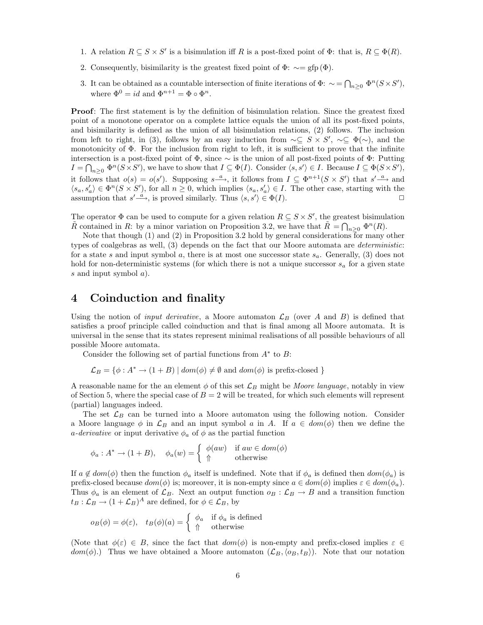- 1. A relation  $R \subseteq S \times S'$  is a bisimulation iff R is a post-fixed point of  $\Phi$ : that is,  $R \subseteq \Phi(R)$ .
- 2. Consequently, bisimilarity is the greatest fixed point of  $\Phi$ :  $\sim =$  gfp( $\Phi$ ).
- 3. It can be obtained as a countable intersection of finite iterations of  $\Phi: \ \sim = \bigcap_{n\geq 0} \Phi^n(S\times S'),$ where  $\Phi^0 = id$  and  $\Phi^{n+1} = \Phi \circ \Phi^n$ .

**Proof**: The first statement is by the definition of bisimulation relation. Since the greatest fixed point of a monotone operator on a complete lattice equals the union of all its post-fixed points, and bisimilarity is defined as the union of all bisimulation relations, (2) follows. The inclusion from left to right, in (3), follows by an easy induction from  $\sim \subseteq S \times S'$ ,  $\sim \subseteq \Phi(\sim)$ , and the monotonicity of  $\Phi$ . For the inclusion from right to left, it is sufficient to prove that the infinite intersection is a post-fixed point of  $\Phi$ , since  $\sim$  is the union of all post-fixed points of  $\Phi$ : Putting  $I = \bigcap_{n \geq 0} \Phi^n(S \times S')$ , we have to show that  $I \subseteq \Phi(I)$ . Consider  $\langle s, s' \rangle \in I$ . Because  $I \subseteq \Phi(S \times S')$ , it follows that  $o(s) = o(s')$ . Supposing  $s^{-a}$ , it follows from  $I \subseteq \Phi^{n+1}(S \times S')$  that  $s' \stackrel{a}{\longrightarrow}$  and  $\langle s_a, s'_a \rangle \in \Phi^n(S \times S')$ , for all  $n \geq 0$ , which implies  $\langle s_a, s'_a \rangle \in I$ . The other case, starting with the assumption that  $s' \stackrel{a}{\longrightarrow}$ , is proved similarly. Thus  $\langle s, s' \rangle \in \Phi(I)$ .

The operator  $\Phi$  can be used to compute for a given relation  $R \subseteq S \times S'$ , the greatest bisimulation  $\tilde{R}$  contained in R: by a minor variation on Proposition 3.2, we have that  $\tilde{R} = \bigcap_{n \geq 0} \Phi^n(R)$ .

Note that though (1) and (2) in Proposition 3.2 hold by general considerations for many other types of coalgebras as well, (3) depends on the fact that our Moore automata are deterministic: for a state s and input symbol a, there is at most one successor state  $s_a$ . Generally, (3) does not hold for non-deterministic systems (for which there is not a unique successor  $s_a$  for a given state s and input symbol a).

# **4 Coinduction and finality**

Using the notion of *input derivative*, a Moore automaton  $\mathcal{L}_B$  (over A and B) is defined that satisfies a proof principle called coinduction and that is final among all Moore automata. It is universal in the sense that its states represent minimal realisations of all possible behaviours of all possible Moore automata.

Consider the following set of partial functions from  $A^*$  to B:

$$
\mathcal{L}_B = \{ \phi : A^* \to (1 + B) \mid \text{dom}(\phi) \neq \emptyset \text{ and } \text{dom}(\phi) \text{ is prefix-closed } \}
$$

A reasonable name for the an element  $\phi$  of this set  $\mathcal{L}_B$  might be Moore language, notably in view of Section 5, where the special case of  $B = 2$  will be treated, for which such elements will represent (partial) languages indeed.

The set  $\mathcal{L}_B$  can be turned into a Moore automaton using the following notion. Consider a Moore language  $\phi$  in  $\mathcal{L}_B$  and an input symbol a in A. If  $a \in dom(\phi)$  then we define the a-derivative or input derivative  $\phi_a$  of  $\phi$  as the partial function

$$
\phi_a: A^* \to (1+B), \quad \phi_a(w) = \begin{cases} \phi(aw) & \text{if } aw \in dom(\phi) \\ \Uparrow & \text{otherwise} \end{cases}
$$

If  $a \notin dom(\phi)$  then the function  $\phi_a$  itself is undefined. Note that if  $\phi_a$  is defined then  $dom(\phi_a)$  is prefix-closed because  $dom(\phi)$  is; moreover, it is non-empty since  $a \in dom(\phi)$  implies  $\varepsilon \in dom(\phi_a)$ . Thus  $\phi_a$  is an element of  $\mathcal{L}_B$ . Next an output function  $o_B : \mathcal{L}_B \to B$  and a transition function  $t_B: \mathcal{L}_B \to (1+\mathcal{L}_B)^A$  are defined, for  $\phi \in \mathcal{L}_B$ , by

$$
o_B(\phi) = \phi(\varepsilon), \quad t_B(\phi)(a) = \begin{cases} \phi_a & \text{if } \phi_a \text{ is defined} \\ \Uparrow & \text{otherwise} \end{cases}
$$

(Note that  $\phi(\varepsilon) \in B$ , since the fact that  $dom(\phi)$  is non-empty and prefix-closed implies  $\varepsilon \in \mathbb{C}$  $dom(\phi)$ .) Thus we have obtained a Moore automaton  $(\mathcal{L}_B,\langle o_B, t_B \rangle)$ . Note that our notation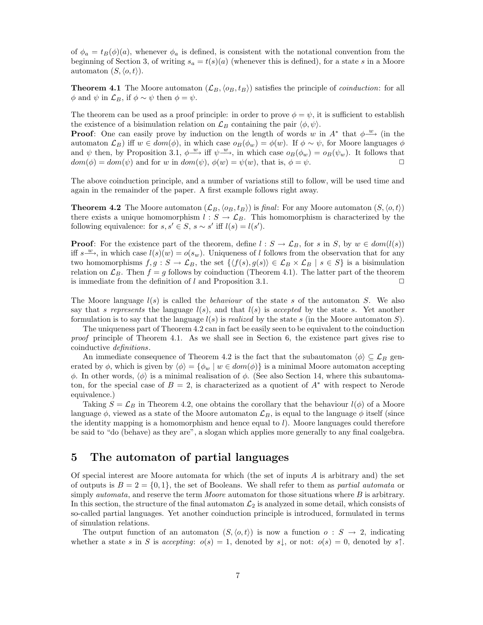of  $\phi_a = t_B(\phi)(a)$ , whenever  $\phi_a$  is defined, is consistent with the notational convention from the beginning of Section 3, of writing  $s_a = t(s)(a)$  (whenever this is defined), for a state s in a Moore automaton  $(S, \langle o, t \rangle)$ .

**Theorem 4.1** The Moore automaton  $(L_B, \langle o_B, t_B \rangle)$  satisfies the principle of *coinduction*: for all  $\phi$  and  $\psi$  in  $\mathcal{L}_B$ , if  $\phi \sim \psi$  then  $\phi = \psi$ .

The theorem can be used as a proof principle: in order to prove  $\phi = \psi$ , it is sufficient to establish the existence of a bisimulation relation on  $\mathcal{L}_B$  containing the pair  $\langle \phi, \psi \rangle$ .

**Proof**: One can easily prove by induction on the length of words w in  $A^*$  that  $\phi \stackrel{w}{\longrightarrow}$  (in the automaton  $\mathcal{L}_B$ ) iff  $w \in dom(\phi)$ , in which case  $o_B(\phi_w) = \phi(w)$ . If  $\phi \sim \psi$ , for Moore languages  $\phi$ and  $\psi$  then, by Proposition 3.1,  $\phi \stackrel{w}{\longrightarrow}$  iff  $\psi \stackrel{w}{\longrightarrow}$ , in which case  $o_B(\phi_w) = o_B(\psi_w)$ . It follows that  $dom(\phi) = dom(\psi)$  and for w in  $dom(\psi)$ ,  $\phi(w) = \psi(w)$ , that is,  $\phi = \psi$ .

The above coinduction principle, and a number of variations still to follow, will be used time and again in the remainder of the paper. A first example follows right away.

**Theorem 4.2** The Moore automaton  $(\mathcal{L}_B, \langle o_B, t_B \rangle)$  is final: For any Moore automaton  $(S, \langle o, t \rangle)$ there exists a unique homomorphism  $l : S \to \mathcal{L}_B$ . This homomorphism is characterized by the following equivalence: for  $s, s' \in S$ ,  $s \sim s'$  iff  $l(s) = l(s')$ .

**Proof**: For the existence part of the theorem, define  $l : S \to \mathcal{L}_B$ , for s in S, by  $w \in dom(l(s))$ iff  $s \xrightarrow{w}$ , in which case  $l(s)(w) = o(s_w)$ . Uniqueness of l follows from the observation that for any two homomorphisms  $f, g : S \to \mathcal{L}_B$ , the set  $\{ \langle f(s), g(s) \rangle \in \mathcal{L}_B \times \mathcal{L}_B | s \in S \}$  is a bisimulation relation on  $\mathcal{L}_B$ . Then  $f = g$  follows by coinduction (Theorem 4.1). The latter part of the theorem is immediate from the definition of l and Proposition 3.1.  $\Box$ 

The Moore language  $l(s)$  is called the *behaviour* of the state s of the automaton S. We also say that s represents the language  $l(s)$ , and that  $l(s)$  is accepted by the state s. Yet another formulation is to say that the language  $l(s)$  is *realized* by the state s (in the Moore automaton S).

The uniqueness part of Theorem 4.2 can in fact be easily seen to be equivalent to the coinduction proof principle of Theorem 4.1. As we shall see in Section 6, the existence part gives rise to coinductive definitions.

An immediate consequence of Theorem 4.2 is the fact that the subautomaton  $\langle \phi \rangle \subseteq \mathcal{L}_B$  generated by  $\phi$ , which is given by  $\langle \phi \rangle = {\phi_w | w \in dom(\phi)}$  is a minimal Moore automaton accepting  $\phi$ . In other words,  $\langle \phi \rangle$  is a minimal realisation of  $\phi$ . (See also Section 14, where this subautomaton, for the special case of  $B = 2$ , is characterized as a quotient of  $A^*$  with respect to Nerode equivalence.)

Taking  $S = \mathcal{L}_B$  in Theorem 4.2, one obtains the corollary that the behaviour  $l(\phi)$  of a Moore language  $\phi$ , viewed as a state of the Moore automaton  $\mathcal{L}_B$ , is equal to the language  $\phi$  itself (since the identity mapping is a homomorphism and hence equal to l). Moore languages could therefore be said to "do (behave) as they are", a slogan which applies more generally to any final coalgebra.

# **5 The automaton of partial languages**

Of special interest are Moore automata for which (the set of inputs A is arbitrary and) the set of outputs is  $B = 2 = \{0, 1\}$ , the set of Booleans. We shall refer to them as partial automata or simply *automata*, and reserve the term *Moore* automaton for those situations where  $B$  is arbitrary. In this section, the structure of the final automaton  $\mathcal{L}_2$  is analyzed in some detail, which consists of so-called partial languages. Yet another coinduction principle is introduced, formulated in terms of simulation relations.

The output function of an automaton  $(S, \langle o, t \rangle)$  is now a function  $o : S \to 2$ , indicating whether a state s in S is accepting:  $o(s) = 1$ , denoted by s,, or not:  $o(s) = 0$ , denoted by s $\uparrow$ .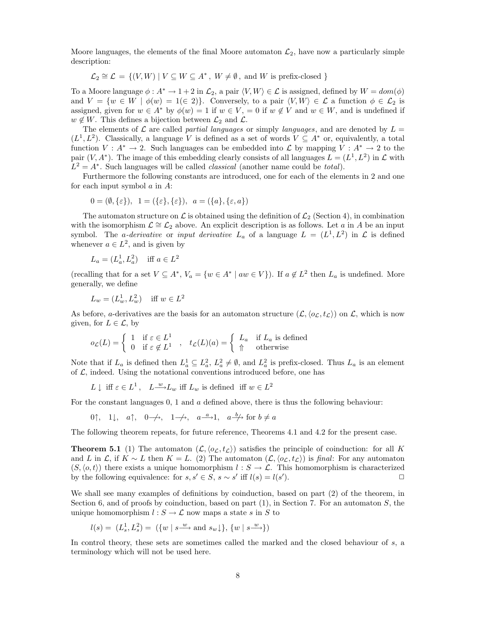Moore languages, the elements of the final Moore automaton  $\mathcal{L}_2$ , have now a particularly simple description:

$$
\mathcal{L}_2 \cong \mathcal{L} = \{ (V, W) \mid V \subseteq W \subseteq A^*, W \neq \emptyset, \text{ and } W \text{ is prefix-closed } \}
$$

To a Moore language  $\phi: A^* \to 1+2$  in  $\mathcal{L}_2$ , a pair  $\langle V, W \rangle \in \mathcal{L}$  is assigned, defined by  $W = dom(\phi)$ and  $V = \{w \in W \mid \phi(w) = 1 \in 2\}$ . Conversely, to a pair  $\langle V, W \rangle \in \mathcal{L}$  a function  $\phi \in \mathcal{L}_2$  is assigned, given for  $w \in A^*$  by  $\phi(w) = 1$  if  $w \in V$ ,  $= 0$  if  $w \notin V$  and  $w \in W$ , and is undefined if  $w \notin W$ . This defines a bijection between  $\mathcal{L}_2$  and  $\mathcal{L}$ .

The elements of  $\mathcal L$  are called *partial languages* or simply *languages*, and are denoted by  $L =$  $(L^1, L^2)$ . Classically, a language V is defined as a set of words  $V \subseteq A^*$  or, equivalently, a total function  $V : A^* \to 2$ . Such languages can be embedded into  $\mathcal L$  by mapping  $V : A^* \to 2$  to the pair  $(V, A^*)$ . The image of this embedding clearly consists of all languages  $L = (L^1, L^2)$  in  $\mathcal L$  with  $L^2 = A^*$ . Such languages will be called *classical* (another name could be *total*).

Furthermore the following constants are introduced, one for each of the elements in 2 and one for each input symbol  $a$  in  $A$ :

$$
0 = (\emptyset, \{\varepsilon\}), \ \ 1 = (\{\varepsilon\}, \{\varepsilon\}), \ \ a = (\{a\}, \{\varepsilon, a\})
$$

The automaton structure on  $\mathcal L$  is obtained using the definition of  $\mathcal L_2$  (Section 4), in combination with the isomorphism  $\mathcal{L} \cong \mathcal{L}_2$  above. An explicit description is as follows. Let a in A be an input symbol. The *a-derivative* or *input derivative*  $L_a$  of a language  $L = (L^1, L^2)$  in  $\mathcal L$  is defined whenever  $a \in L^2$ , and is given by

$$
L_a = (L_a^1, L_a^2) \quad \text{iff } a \in L^2
$$

(recalling that for a set  $V \subseteq A^*$ ,  $V_a = \{w \in A^* \mid aw \in V\}$ ). If  $a \notin L^2$  then  $L_a$  is undefined. More generally, we define

$$
L_w = (L_w^1, L_w^2) \quad \text{iff } w \in L^2
$$

As before, *a*-derivatives are the basis for an automaton structure  $(\mathcal{L}, \langle o_{\mathcal{L}}, t_{\mathcal{L}})$  on  $\mathcal{L}$ , which is now given, for  $L \in \mathcal{L}$ , by

$$
o_{\mathcal{L}}(L) = \begin{cases} 1 & \text{if } \varepsilon \in L^1 \\ 0 & \text{if } \varepsilon \notin L^1 \end{cases}, \quad t_{\mathcal{L}}(L)(a) = \begin{cases} L_a & \text{if } L_a \text{ is defined} \\ \Uparrow & \text{otherwise} \end{cases}
$$

Note that if  $L_a$  is defined then  $L_a^1 \subseteq L_a^2$ ,  $L_a^2 \neq \emptyset$ , and  $L_a^2$  is prefix-closed. Thus  $L_a$  is an element of  $\mathcal{L}$ , indeed. Using the notational conventions introduced before, one has

$$
L \downarrow \text{ iff } \varepsilon \in L^1 \,, \quad L \xrightarrow{w} L_w \text{ iff } L_w \text{ is defined iff } w \in L^2
$$

For the constant languages  $0, 1$  and  $\alpha$  defined above, there is thus the following behaviour:

$$
0\uparrow, \quad 1\downarrow, \quad a\uparrow, \quad 0 \to \to, \quad 1 \to, \quad a \xrightarrow{a} 1, \quad a \xrightarrow{b} \text{ for } b \neq a
$$

The following theorem repeats, for future reference, Theorems 4.1 and 4.2 for the present case.

**Theorem 5.1** (1) The automaton  $(L, \langle o_L, t_L \rangle)$  satisfies the principle of coinduction: for all K and L in  $\mathcal{L}$ , if  $K \sim L$  then  $K = L$ . (2) The automaton  $(\mathcal{L}, \langle o_{\mathcal{L}}, t_{\mathcal{L}})$  is final: For any automaton  $(S, \langle o, t \rangle)$  there exists a unique homomorphism  $l : S \to \mathcal{L}$ . This homomorphism is characterized by the following equivalence: for  $s, s' \in S$ ,  $s \sim s'$  iff  $l(s) = l(s')$ . ).  $\qquad \qquad \Box$ 

We shall see many examples of definitions by coinduction, based on part  $(2)$  of the theorem, in Section 6, and of proofs by coinduction, based on part  $(1)$ , in Section 7. For an automaton  $S$ , the unique homomorphism  $l : S \to \mathcal{L}$  now maps a state s in S to

$$
l(s)=\ (L_s^1,L_s^2)=\ (\{w\mid s\stackrel{w}{\longrightarrow} \text{and}\ s_w\!\downarrow\},\,\{w\mid s\stackrel{w}{\longrightarrow}\})
$$

In control theory, these sets are sometimes called the marked and the closed behaviour of s, a terminology which will not be used here.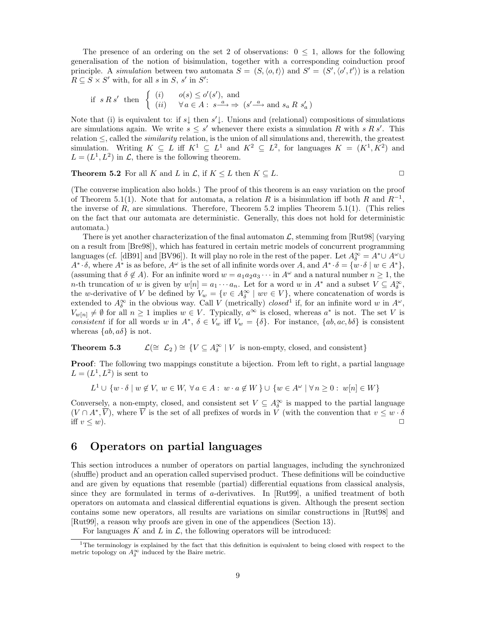The presence of an ordering on the set 2 of observations:  $0 \leq 1$ , allows for the following generalisation of the notion of bisimulation, together with a corresponding coinduction proof principle. A simulation between two automata  $S = (S, \langle o, t \rangle)$  and  $S' = (S', \langle o', t' \rangle)$  is a relation  $R \subseteq S \times S'$  with, for all s in S, s' in S':

$$
\text{if } s \, R \, s' \text{ then } \begin{cases} (i) & o(s) \le o'(s'), \text{ and} \\ (ii) & \forall a \in A : s^{\frac{a}{-s}} \Rightarrow (s'^{\frac{a}{-s}} \text{ and } s_a \, R \, s'_a) \end{cases}
$$

Note that (i) is equivalent to: if  $s\downarrow$  then  $s'\downarrow$ . Unions and (relational) compositions of simulations are simulations again. We write  $s \leq s'$  whenever there exists a simulation R with s R s'. This relation  $\leq$ , called the *similarity* relation, is the union of all simulations and, therewith, the greatest simulation. Writing  $K \subseteq L$  iff  $K^1 \subseteq L^1$  and  $K^2 \subseteq L^2$ , for languages  $K = (K^1, K^2)$  and  $L = (L^1, L^2)$  in  $\mathcal{L}$ , there is the following theorem.

**Theorem 5.2** For all K and L in  $\mathcal{L}$ , if  $K \leq L$  then  $K \subseteq L$ .

(The converse implication also holds.) The proof of this theorem is an easy variation on the proof of Theorem 5.1(1). Note that for automata, a relation R is a bisimulation iff both R and  $R^{-1}$ , the inverse of  $R$ , are simulations. Therefore, Theorem 5.2 implies Theorem 5.1(1). (This relies on the fact that our automata are deterministic. Generally, this does not hold for deterministic automata.)

There is yet another characterization of the final automaton  $\mathcal{L}$ , stemming from [Rut98] (varying on a result from [Bre98]), which has featured in certain metric models of concurrent programming languages (cf. [dB91] and [BV96]). It will play no role in the rest of the paper. Let  $A_{\delta}^{\infty} = A^* \cup A^{\omega} \cup A^{\omega}$  $A^* \cdot \delta$ , where  $A^*$  is as before,  $A^\omega$  is the set of all infinite words over A, and  $A^* \cdot \delta = \{w \cdot \delta \mid w \in A^*\}$ , (assuming that  $\delta \notin A$ ). For an infinite word  $w = a_1 a_2 a_3 \cdots$  in  $A^{\omega}$  and a natural number  $n \geq 1$ , the n-th truncation of w is given by  $w[n] = a_1 \cdots a_n$ . Let for a word w in  $A^*$  and a subset  $V \subseteq A_0^{\infty}$ , the w-derivative of V be defined by  $V_w = \{v \in A_\delta^\infty \mid wv \in V\}$ , where concatenation of words is extended to  $A_{\delta}^{\infty}$  in the obvious way. Call V (metrically) closed<sup>1</sup> if, for an infinite word w in  $A^{\omega}$ ,  $V_{w[n]} \neq \emptyset$  for all  $n \geq 1$  implies  $w \in V$ . Typically,  $a^{\infty}$  is closed, whereas  $a^*$  is not. The set V is consistent if for all words w in  $A^*$ ,  $\delta \in V_w$  iff  $V_w = {\delta}$ . For instance,  $\{ab,ac,b\}$  is consistent whereas  $\{ab, a\delta\}$  is not.

# **Theorem 5.3**  $\mathcal{L}(\cong \mathcal{L}_2) \cong \{ V \subseteq A_{\delta}^{\infty} \mid V \text{ is non-empty, closed, and consistent} \}$

**Proof**: The following two mappings constitute a bijection. From left to right, a partial language  $L = (L^1, L^2)$  is sent to

 $L^1 \cup \{w \cdot \delta \mid w \notin V, w \in W, \forall a \in A : w \cdot a \notin W\} \cup \{w \in A^{\omega} \mid \forall n \geq 0 : w[n] \in W\}$ 

Conversely, a non-empty, closed, and consistent set  $V \subseteq A_{\delta}^{\infty}$  is mapped to the partial language  $(V \cap A^*, \overline{V})$ , where  $\overline{V}$  is the set of all prefixes of words in V (with the convention that  $v \leq w \cdot \delta$ iff  $v \leq w$ ).

### **6 Operators on partial languages**

This section introduces a number of operators on partial languages, including the synchronized (shuffle) product and an operation called supervised product. These definitions will be coinductive and are given by equations that resemble (partial) differential equations from classical analysis, since they are formulated in terms of a-derivatives. In [Rut99], a unified treatment of both operators on automata and classical differential equations is given. Although the present section contains some new operators, all results are variations on similar constructions in [Rut98] and [Rut99], a reason why proofs are given in one of the appendices (Section 13).

For languages K and L in  $\mathcal{L}$ , the following operators will be introduced:

<sup>&</sup>lt;sup>1</sup>The terminology is explained by the fact that this definition is equivalent to being closed with respect to the metric topology on  $A_{\delta}^{\infty}$  induced by the Baire metric.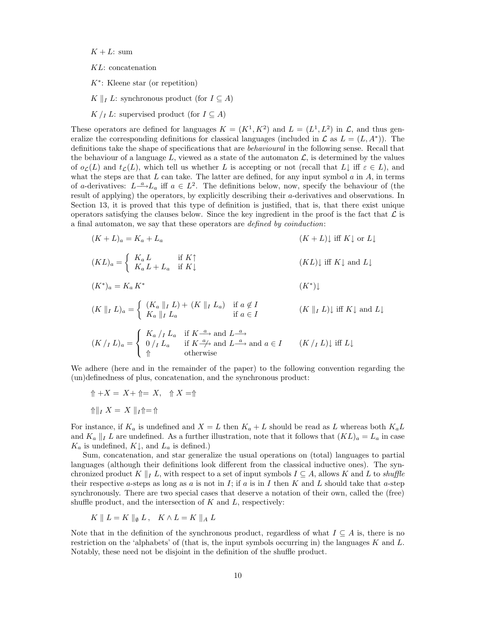$K + L$ : sum

KL: concatenation

 $K^*$ : Kleene star (or repetition)

K || L: synchronous product (for  $I \subseteq A$ )

 $K / I$  L: supervised product (for  $I \subseteq A$ )

These operators are defined for languages  $K = (K^1, K^2)$  and  $L = (L^1, L^2)$  in  $\mathcal{L}$ , and thus generalize the corresponding definitions for classical languages (included in  $\mathcal L$  as  $L = (L, A^*)$ ). The definitions take the shape of specifications that are behavioural in the following sense. Recall that the behaviour of a language L, viewed as a state of the automaton  $\mathcal{L}$ , is determined by the values of  $o<sub>L</sub>(L)$  and  $t<sub>L</sub>(L)$ , which tell us whether L is accepting or not (recall that  $L\downarrow$  iff  $\varepsilon \in L$ ), and what the steps are that  $L$  can take. The latter are defined, for any input symbol  $a$  in  $A$ , in terms of a-derivatives:  $L^{\underline{a}}/L_a$  iff  $a \in L^2$ . The definitions below, now, specify the behaviour of (the result of applying) the operators, by explicitly describing their a-derivatives and observations. In Section 13, it is proved that this type of definition is justified, that is, that there exist unique operators satisfying the clauses below. Since the key ingredient in the proof is the fact that  $\mathcal L$  is a final automaton, we say that these operators are defined by coinduction:

$$
(K+L)_a = K_a + L_a \t (KL) = \begin{cases} K_a L & \text{if } K \uparrow \\ K_a L + L_a & \text{if } K \downarrow \end{cases} \t (KL) \downarrow \text{iff } K \downarrow \text{ or } L \downarrow
$$
  

$$
(K^*)_a = K_a K^* \t (K^*)_a = \begin{cases} (K_a || I L) + (K || I L_a) & \text{if } a \notin I \\ K_a || I L_a & \text{if } a \in I \end{cases} \t (K || I L) \downarrow \text{iff } K \downarrow \text{ and } L \downarrow
$$
  

$$
(K / I L)_a = \begin{cases} K_a / I L_a & \text{if } K \stackrel{a}{\to} \text{ and } L \stackrel{a}{\to} \\ 0 / I L_a & \text{if } K \stackrel{a}{\to} \text{ and } L \stackrel{a}{\to} \text{ and } a \in I \t (K / I L) \downarrow \text{ iff } L \downarrow \end{cases}
$$

We adhere (here and in the remainder of the paper) to the following convention regarding the (un)definedness of plus, concatenation, and the synchronous product:

$$
\Uparrow + X = X + \Uparrow = X, \quad \Uparrow X = \Uparrow
$$

$$
\Uparrow \Vparrow_I X = X \parallel_I \Uparrow = \Uparrow
$$

For instance, if  $K_a$  is undefined and  $X = L$  then  $K_a + L$  should be read as L whereas both  $K_a L$ and  $K_a \parallel I$  L are undefined. As a further illustration, note that it follows that  $(KL)_a = L_a$  in case  $K_a$  is undefined,  $K\downarrow$ , and  $L_a$  is defined.)

Sum, concatenation, and star generalize the usual operations on (total) languages to partial languages (although their definitions look different from the classical inductive ones). The synchronized product K  $||_I L$ , with respect to a set of input symbols  $I \subseteq A$ , allows K and L to shuffle their respective a-steps as long as a is not in I; if a is in I then K and L should take that a-step synchronously. There are two special cases that deserve a notation of their own, called the (free) shuffle product, and the intersection of  $K$  and  $L$ , respectively:

$$
K \parallel L = K \parallel_{\emptyset} L, \quad K \wedge L = K \parallel_A L
$$

Note that in the definition of the synchronous product, regardless of what  $I \subseteq A$  is, there is no restriction on the 'alphabets' of (that is, the input symbols occurring in) the languages  $K$  and  $L$ . Notably, these need not be disjoint in the definition of the shuffle product.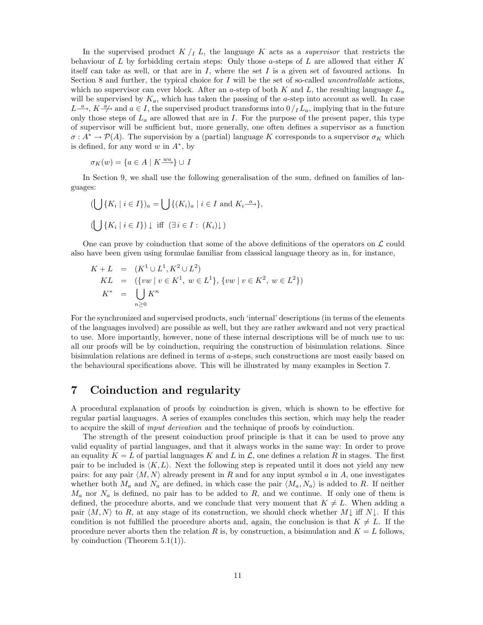In the supervised product  $K / I$ , the language K acts as a *supervisor* that restricts the behaviour of L by forbidding certain steps: Only those a-steps of L are allowed that either  $K$ itself can take as well, or that are in  $I$ , where the set  $I$  is a given set of favoured actions. In Section 8 and further, the typical choice for  $I$  will be the set of so-called *uncontrollable* actions, which no supervisor can ever block. After an a-step of both K and L, the resulting language  $L_a$ will be supervised by  $K_a$ , which has taken the passing of the a-step into account as well. In case  $L \stackrel{a}{\longrightarrow}$ ,  $K \stackrel{a}{\longrightarrow}$  and  $a \in I$ , the supervised product transforms into  $0/I_{a}$ , implying that in the future only those steps of  $L_a$  are allowed that are in I. For the purpose of the present paper, this type of supervisor will be sufficient but, more generally, one often defines a supervisor as a function  $\sigma: A^* \to \mathcal{P}(A)$ . The supervision by a (partial) language K corresponds to a supervisor  $\sigma_K$  which is defined, for any word w in  $A^*$ , by

$$
\sigma_K(w) = \{ a \in A \mid K \xrightarrow{wa} \} \cup I
$$

In Section 9, we shall use the following generalisation of the sum, defined on families of languages:

$$
\begin{aligned}\n(\bigcup \{K_i \mid i \in I\})_a &= \bigcup \{ (K_i)_a \mid i \in I \text{ and } K_i \xrightarrow{a} \}, \\
(\bigcup \{K_i \mid i \in I\}) \downarrow \text{ iff } (\exists i \in I : (K_i) \downarrow)\n\end{aligned}
$$

One can prove by coinduction that some of the above definitions of the operators on  $\mathcal L$  could also have been given using formulae familiar from classical language theory as in, for instance,

$$
K + L = (K^{1} \cup L^{1}, K^{2} \cup L^{2})
$$
  
\n
$$
KL = (\{vw \mid v \in K^{1}, w \in L^{1}\}, \{vw \mid v \in K^{2}, w \in L^{2}\})
$$
  
\n
$$
K^{*} = \bigcup_{n \geq 0} K^{n}
$$

For the synchronized and supervised products, such 'internal' descriptions (in terms of the elements of the languages involved) are possible as well, but they are rather awkward and not very practical to use. More importantly, however, none of these internal descriptions will be of much use to us: all our proofs will be by coinduction, requiring the construction of bisimulation relations. Since bisimulation relations are defined in terms of a-steps, such constructions are most easily based on the behavioural specifications above. This will be illustrated by many examples in Section 7.

# **7 Coinduction and regularity**

A procedural explanation of proofs by coinduction is given, which is shown to be effective for regular partial languages. A series of examples concludes this section, which may help the reader to acquire the skill of input derivation and the technique of proofs by coinduction.

The strength of the present coinduction proof principle is that it can be used to prove any valid equality of partial languages, and that it always works in the same way: In order to prove an equality  $K = L$  of partial languages K and L in  $\mathcal{L}$ , one defines a relation R in stages. The first pair to be included is  $\langle K, L \rangle$ . Next the following step is repeated until it does not yield any new pairs: for any pair  $\langle M,N \rangle$  already present in R and for any input symbol a in A, one investigates whether both  $M_a$  and  $N_a$  are defined, in which case the pair  $\langle M_a, N_a \rangle$  is added to R. If neither  $M_a$  nor  $N_a$  is defined, no pair has to be added to R, and we continue. If only one of them is defined, the procedure aborts, and we conclude that very moment that  $K \neq L$ . When adding a pair  $\langle M,N\rangle$  to R, at any stage of its construction, we should check whether M $\downarrow$  iff N $\downarrow$ . If this condition is not fulfilled the procedure aborts and, again, the conclusion is that  $K \neq L$ . If the procedure never aborts then the relation R is, by construction, a bisimulation and  $K = L$  follows, by coinduction (Theorem  $5.1(1)$ ).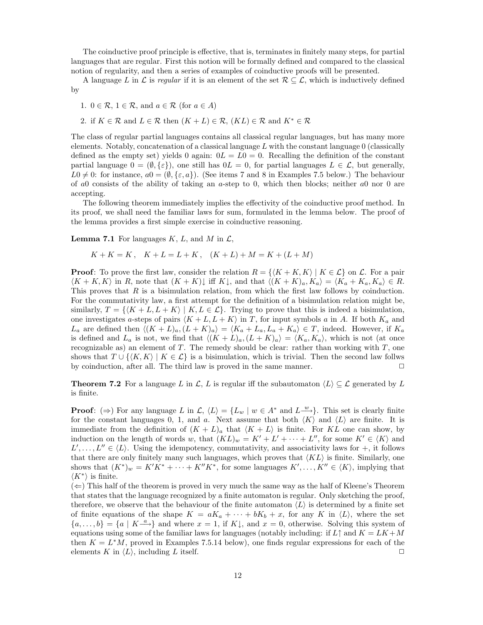The coinductive proof principle is effective, that is, terminates in finitely many steps, for partial languages that are regular. First this notion will be formally defined and compared to the classical notion of regularity, and then a series of examples of coinductive proofs will be presented.

A language L in L is regular if it is an element of the set  $\mathcal{R} \subseteq \mathcal{L}$ , which is inductively defined by

1.  $0 \in \mathcal{R}$ ,  $1 \in \mathcal{R}$ , and  $a \in \mathcal{R}$  (for  $a \in A$ )

2. if  $K \in \mathcal{R}$  and  $L \in \mathcal{R}$  then  $(K + L) \in \mathcal{R}$ ,  $(KL) \in \mathcal{R}$  and  $K^* \in \mathcal{R}$ 

The class of regular partial languages contains all classical regular languages, but has many more elements. Notably, concatenation of a classical language  $L$  with the constant language  $0$  (classically defined as the empty set) yields 0 again:  $0L = L0 = 0$ . Recalling the definition of the constant partial language  $0 = (\emptyset, {\varepsilon})$ , one still has  $0L = 0$ , for partial languages  $L \in \mathcal{L}$ , but generally,  $L_0 \neq 0$ : for instance,  $a_0=(\emptyset, \{\varepsilon, a\})$ . (See items 7 and 8 in Examples 7.5 below.) The behaviour of a0 consists of the ability of taking an a-step to 0, which then blocks; neither a0 nor 0 are accepting.

The following theorem immediately implies the effectivity of the coinductive proof method. In its proof, we shall need the familiar laws for sum, formulated in the lemma below. The proof of the lemma provides a first simple exercise in coinductive reasoning.

**Lemma 7.1** For languages  $K, L$ , and  $M$  in  $\mathcal{L}$ ,

$$
K + K = K, \quad K + L = L + K, \quad (K + L) + M = K + (L + M)
$$

**Proof**: To prove the first law, consider the relation  $R = \{K + K, K\} | K \in \mathcal{L}\}$  on  $\mathcal{L}$ . For a pair  $\langle K + K, K \rangle$  in R, note that  $(K + K)$  iff  $K \downarrow$ , and that  $\langle (K + K)_{a}, K_{a} \rangle = \langle K_{a} + K_{a}, K_{a} \rangle \in R$ . This proves that  $R$  is a bisimulation relation, from which the first law follows by coinduction. For the commutativity law, a first attempt for the definition of a bisimulation relation might be, similarly,  $T = \{(K + L, L + K) | K, L \in \mathcal{L}\}\$ . Trying to prove that this is indeed a bisimulation, one investigates a-steps of pairs  $\langle K + L, L + K \rangle$  in T, for input symbols a in A. If both  $K_a$  and  $L_a$  are defined then  $\langle (K + L)_a,(L + K)_a \rangle = \langle K_a + L_a, L_a + K_a \rangle \in T$ , indeed. However, if  $K_a$ is defined and  $L_a$  is not, we find that  $\langle (K + L)_a,(L + K)_a \rangle = \langle K_a, K_a \rangle$ , which is not (at once recognizable as) an element of  $T$ . The remedy should be clear: rather than working with  $T$ , one shows that  $T \cup \{K,K\}$  |  $K \in \mathcal{L}$  is a bisimulation, which is trivial. Then the second law follws by coinduction, after all. The third law is proved in the same manner.  $\Box$ 

**Theorem 7.2** For a language L in C, L is regular iff the subautomaton  $\langle L \rangle \subseteq \mathcal{L}$  generated by L is finite.

**Proof**: ( $\Rightarrow$ ) For any language L in C,  $\langle L \rangle = \{L_w | w \in A^* \text{ and } L^{\underline{w}}\}\.$  This set is clearly finite for the constant languages 0, 1, and a. Next assume that both  $\langle K \rangle$  and  $\langle L \rangle$  are finite. It is immediate from the definition of  $(K + L)<sub>a</sub>$  that  $\langle K + L \rangle$  is finite. For KL one can show, by induction on the length of words w, that  $(KL)_w = K' + L' + \cdots + L''$ , for some  $K' \in \langle K \rangle$  and  $L',\ldots,L'' \in \langle L \rangle$ . Using the idempotency, commutativity, and associativity laws for  $+$ , it follows that there are only finitely many such languages, which proves that  $\langle KL \rangle$  is finite. Similarly, one shows that  $(K^*)_w = K'K^* + \cdots + K''K^*$ , for some languages  $K', \ldots, K'' \in \langle K \rangle$ , implying that  $\langle K^* \rangle$  is finite.

 $(\Leftarrow)$  This half of the theorem is proved in very much the same way as the half of Kleene's Theorem that states that the language recognized by a finite automaton is regular. Only sketching the proof, therefore, we observe that the behaviour of the finite automaton  $\langle L \rangle$  is determined by a finite set of finite equations of the shape  $K = aK_a + \cdots + bK_b + x$ , for any K in  $\langle L \rangle$ , where the set  ${a, \ldots, b} = {a | K<sup>a</sup> \choose 0}$  and where  $x = 1$ , if  $K\downarrow$ , and  $x = 0$ , otherwise. Solving this system of equations using some of the familiar laws for languages (notably including: if  $L \uparrow$  and  $K = LK + M$ then  $K = L^*M$ , proved in Examples 7.5.14 below), one finds regular expressions for each of the elements K in  $\langle L \rangle$ , including L itself.  $\square$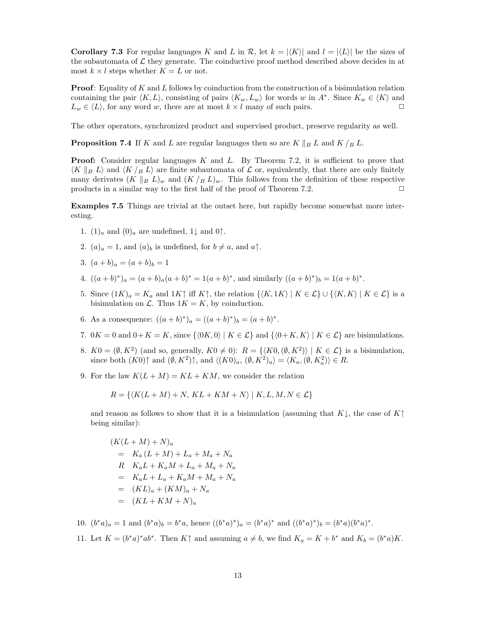**Corollary 7.3** For regular languages K and L in  $\mathcal{R}$ , let  $k = |\langle K \rangle|$  and  $l = |\langle L \rangle|$  be the sizes of the subautomata of  $\mathcal L$  they generate. The coinductive proof method described above decides in at most  $k \times l$  steps whether  $K = L$  or not.

**Proof**: Equality of K and L follows by coinduction from the construction of a bisimulation relation containing the pair  $\langle K, L \rangle$ , consisting of pairs  $\langle K_w, L_w \rangle$  for words w in A∗. Since  $K_w \in \langle K \rangle$  and  $L_w \in \langle L \rangle$ , for any word w, there are at most  $k \times l$  many of such pairs.

The other operators, synchronized product and supervised product, preserve regularity as well.

**Proposition 7.4** If K and L are regular languages then so are  $K \parallel_B L$  and  $K / B L$ .

**Proof:** Consider regular languages K and L. By Theorem 7.2, it is sufficient to prove that  $\langle K \parallel_B L \rangle$  and  $\langle K \rangle_B L$  are finite subautomata of  $\mathcal L$  or, equivalently, that there are only finitely many derivates  $(K \parallel_B L)_w$  and  $(K /_B L)_w$ . This follows from the definition of these respective products in a similar way to the first half of the proof of Theorem 7.2.  $\Box$ 

**Examples 7.5** Things are trivial at the outset here, but rapidly become somewhat more interesting.

- 1.  $(1)$ <sub>a</sub> and  $(0)$ <sub>a</sub> are undefined, 1 $\downarrow$  and 0 $\uparrow$ .
- 2.  $(a)_a = 1$ , and  $(a)_b$  is undefined, for  $b \neq a$ , and  $a \uparrow$ .
- 3.  $(a + b)<sub>a</sub> = (a + b)<sub>b</sub> = 1$
- 4.  $((a + b)^*)_a = (a + b)_a (a + b)^* = 1(a + b)^*$ , and similarly  $((a + b)^*)_b = 1(a + b)^*$ .
- 5. Since  $(1K)_a = K_a$  and  $1K\uparrow$  iff  $K\uparrow$ , the relation  $\{\langle K, 1K \rangle \mid K \in \mathcal{L}\}\cup \{\langle K, K \rangle \mid K \in \mathcal{L}\}\$ is a bisimulation on  $\mathcal{L}$ . Thus  $1K = K$ , by coinduction.
- 6. As a consequence:  $((a + b)^*)_a = ((a + b)^*)_b = (a + b)^*$ .
- 7.  $0K = 0$  and  $0 + K = K$ , since  $\{\langle 0K, 0 \rangle | K \in \mathcal{L}\}\$  and  $\{\langle 0+K, K \rangle | K \in \mathcal{L}\}\$  are bisimulations.
- 8.  $K0=(\emptyset, K^2)$  (and so, generally,  $K0 \neq 0$ ):  $R = \{(K0,(\emptyset, K^2)) | K \in \mathcal{L}\}\$ is a bisimulation, since both  $(K0)$  $\uparrow$  and  $(\emptyset, K^2)$  $\uparrow$ , and  $\langle (K0)_a, (\emptyset, K^2)_a \rangle = \langle K_a, (\emptyset, K_a^2) \rangle \in R$ .
- 9. For the law  $K(L + M) = KL + KM$ , we consider the relation

$$
R = \{ \langle K(L+M) + N, KL+KM+N \rangle \mid K, L, M, N \in \mathcal{L} \}
$$

and reason as follows to show that it is a bisimulation (assuming that K $\downarrow$ , the case of K $\uparrow$ being similar):

 $(K(L + M) + N)<sub>a</sub>$  $= K_a (L + M) + L_a + M_a + N_a$  $R$   $K_a L + K_a M + L_a + M_a + N_a$  $= K_a L + L_a + K_a M + M_a + N_a$  $= (KL)<sub>a</sub> + (KM)<sub>a</sub> + N<sub>a</sub>$  $= (KL + KM + N)<sub>a</sub>$ 

10.  $(b^*a)_a = 1$  and  $(b^*a)_b = b^*a$ , hence  $((b^*a)^*)_a = (b^*a)^*$  and  $((b^*a)^*)_b = (b^*a)(b^*a)^*$ . 11. Let  $K = (b^*a)^*ab^*$ . Then  $K\uparrow$  and assuming  $a \neq b$ , we find  $K_a = K + b^*$  and  $K_b = (b^*a)K$ .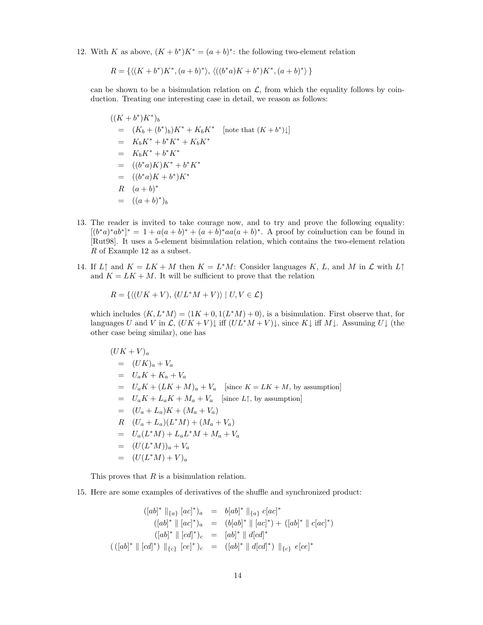12. With K as above,  $(K + b^*)K^* = (a + b)^*$ : the following two-element relation

$$
R = \{ \langle (K + b^*)K^*, (a + b)^* \rangle, \langle ((b^*a)K + b^*)K^*, (a + b)^* \rangle \}
$$

can be shown to be a bisimulation relation on  $\mathcal{L}$ , from which the equality follows by coinduction. Treating one interesting case in detail, we reason as follows:

$$
((K + b^*)K^*)_b
$$
  
=  $(K_b + (b^*)_b)K^* + K_bK^*$  [note that  $(K + b^*)\downarrow$ ]  
=  $K_bK^* + b^*K^* + K_bK^*$   
=  $K_bK^* + b^*K^*$   
=  $((b^*a)K)K^* + b^*K^*$   
=  $((b^*a)K + b^*)K^*$   
R  $(a + b)^*$   
=  $((a + b)^*)_b$ 

- 13. The reader is invited to take courage now, and to try and prove the following equality:  $[(b^*a)^*ab^*]^* = 1 + a(a+b)^* + (a+b)^*aa(a+b)^*$ . A proof by coinduction can be found in [Rut98]. It uses a 5-element bisimulation relation, which contains the two-element relation  ${\cal R}$  of Example 12 as a subset.
- 14. If  $L \uparrow$  and  $K = LK + M$  then  $K = L^*M$ : Consider languages K, L, and M in  $\mathcal L$  with  $L \uparrow$ and  $K = LK + M$ . It will be sufficient to prove that the relation

$$
R = \{ \langle (UK + V), (UL^*M + V) \rangle \mid U, V \in \mathcal{L} \}
$$

which includes  $\langle K,L^*M \rangle = \langle 1K + 0, 1(L^*M) + 0 \rangle$ , is a bisimulation. First observe that, for languages U and V in  $\mathcal{L}, (UK + V)$  iff  $(UL^*M + V)$ , since K, iff M, Assuming U, (the other case being similar), one has

$$
(UK + V)a
$$
  
=  $(UK)a + Va$   
=  $UaK + Ka + Va$   
=  $UaK + (LK + M)a + Va$  [since  $K = LK + M$ , by assumption]  
=  $UaK + LaK + Ma + Va$  [since  $L$ ], by assumption]  
=  $(Ua + La)K + (Ma + Va)$   
R  $(Ua + La)(L*M) + (Ma + Va)$   
=  $Ua(L*M) + LaL*M + Ma + Va$   
=  $(U(L*M))a + Va$   
=  $(U(L*M) + V)a$ 

This proves that R is a bisimulation relation.

15. Here are some examples of derivatives of the shuffle and synchronized product:

$$
([ab]^* \parallel_{\{a\}} [ac]^*)_a = b[ab]^* \parallel_{\{a\}} clac]^*
$$
  
\n
$$
([ab]^* \parallel [ac]^*)_a = (b[ab]^* \parallel [ac]^*) + ([ab]^* \parallel clac]^*
$$
  
\n
$$
([ab]^* \parallel [cd]^*)_c = [ab]^* \parallel d[cd]^*
$$
  
\n
$$
(([ab]^* \parallel [cd]^*) \parallel_{\{c\}} [ce]^* )_c = ([ab]^* \parallel d[cd]^*) \parallel_{\{c\}} el[ce]^*
$$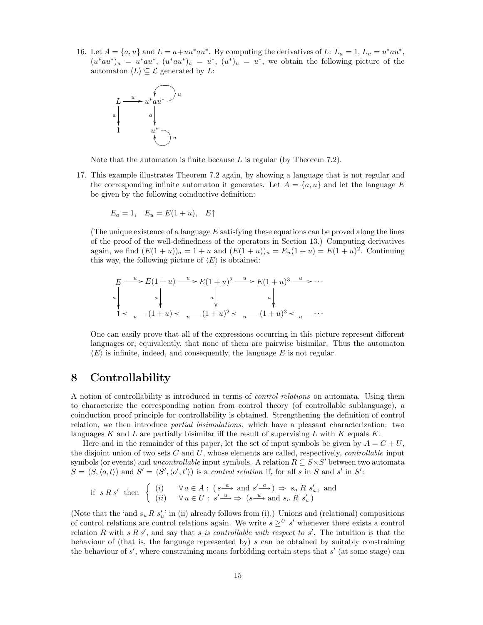16. Let  $A = \{a, u\}$  and  $L = a + uu^*au^*$ . By computing the derivatives of L:  $L_a = 1$ ,  $L_u = u^*au^*$ ,  $(u^*au^*)_u = u^*au^*, (u^*au^*)_a = u^*, (u^*)_u = u^*,$  we obtain the following picture of the automaton  $\langle L \rangle \subseteq \mathcal{L}$  generated by L:



Note that the automaton is finite because  $L$  is regular (by Theorem 7.2).

17. This example illustrates Theorem 7.2 again, by showing a language that is not regular and the corresponding infinite automaton it generates. Let  $A = \{a, u\}$  and let the language E be given by the following coinductive definition:

$$
E_a = 1, \quad E_u = E(1+u), \quad E\uparrow
$$

(The unique existence of a language  $E$  satisfying these equations can be proved along the lines of the proof of the well-definedness of the operators in Section 13.) Computing derivatives again, we find  $(E(1+u))_a = 1+u$  and  $(E(1+u))_u = E_u(1+u) = E(1+u)^2$ . Continuing this way, the following picture of  $\langle E \rangle$  is obtained:

$$
E \xrightarrow{u} E(1+u) \xrightarrow{u} E(1+u)^2 \xrightarrow{u} E(1+u)^3 \xrightarrow{u} \cdots
$$
  
\n
$$
a \downarrow \qquad a \downarrow \qquad a \downarrow \qquad a \downarrow
$$
  
\n
$$
1 \leftarrow u \qquad (1+u) \leftarrow u \qquad (1+u)^2 \leftarrow u \qquad (1+u)^3 \leftarrow u \qquad \cdots
$$

One can easily prove that all of the expressions occurring in this picture represent different languages or, equivalently, that none of them are pairwise bisimilar. Thus the automaton  $\langle E \rangle$  is infinite, indeed, and consequently, the language E is not regular.

#### **8 Controllability**

A notion of controllability is introduced in terms of control relations on automata. Using them to characterize the corresponding notion from control theory (of controllable sublanguage), a coinduction proof principle for controllability is obtained. Strengthening the definition of control relation, we then introduce partial bisimulations, which have a pleasant characterization: two languages K and L are partially bisimilar iff the result of supervising L with K equals  $K$ .

Here and in the remainder of this paper, let the set of input symbols be given by  $A = C + U$ , the disjoint union of two sets  $C$  and  $U$ , whose elements are called, respectively, *controllable* input symbols (or events) and *uncontrollable* input symbols. A relation  $R \subseteq S \times S'$  between two automata  $S = (S, \langle o, t \rangle)$  and  $S' = (S', \langle o', t' \rangle)$  is a control relation if, for all s in S and s' in S':

$$
\text{if } s \, R \, s' \text{ then } \left\{ \begin{array}{ll} (i) & \forall \, a \in A : \ (s \xrightarrow{a} \text{ and } s' \xrightarrow{a}) \Rightarrow s_a \, R \, s'_a \text{, and} \\ (ii) & \forall \, u \in U : \ s' \xrightarrow{u} \Rightarrow (s \xrightarrow{u} \text{ and } s_u \, R \, s'_u) \end{array} \right.
$$

(Note that the 'and  $s_u R s_u'$ ' in (ii) already follows from (i).) Unions and (relational) compositions of control relations are control relations again. We write  $s \geq^{U} s'$  whenever there exists a control relation R with  $s R s'$ , and say that s is controllable with respect to s'. The intuition is that the behaviour of (that is, the language represented by) s can be obtained by suitably constraining the behaviour of  $s'$ , where constraining means forbidding certain steps that  $s'$  (at some stage) can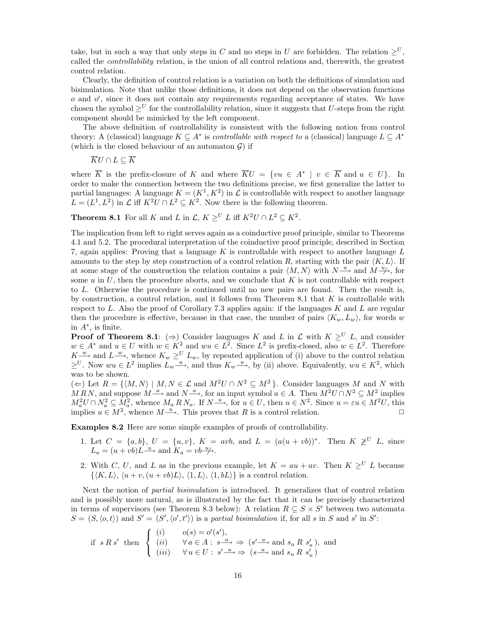take, but in such a way that only steps in C and no steps in U are forbidden. The relation  $\geq^U$ , called the controllability relation, is the union of all control relations and, therewith, the greatest control relation.

Clearly, the definition of control relation is a variation on both the definitions of simulation and bisimulation. Note that unlike those definitions, it does not depend on the observation functions  $o$  and  $o'$ , since it does not contain any requirements regarding acceptance of states. We have chosen the symbol  $\geq^U$  for the controllability relation, since it suggests that U-steps from the right component should be mimicked by the left component.

The above definition of controllability is consistent with the following notion from control theory: A (classical) language  $K \subseteq A^*$  is *controllable with respect to* a (classical) language  $L \subseteq A^*$ (which is the closed behaviour of an automaton  $\mathcal{G}$ ) if

$$
\overline{K}U\cap L\subseteq \overline{K}
$$

where  $\overline{K}$  is the prefix-closure of K and where  $\overline{K}U = \{vu \in A^* \mid v \in \overline{K} \text{ and } u \in U\}$ . In order to make the connection between the two definitions precise, we first generalize the latter to partial languages: A language  $K = (K^1, K^2)$  in  $\mathcal L$  is controllable with respect to another language  $L = (L^1, L^2)$  in  $\mathcal L$  iff  $K^2U \cap L^2 \subseteq K^2$ . Now there is the following theorem.

**Theorem 8.1** For all K and L in  $\mathcal{L}, K \geq^U L$  iff  $K^2U \cap L^2 \subseteq K^2$ .

The implication from left to right serves again as a coinductive proof principle, similar to Theorems 4.1 and 5.2. The procedural interpretation of the coinductive proof principle, described in Section 7, again applies: Proving that a language  $K$  is controllable with respect to another language  $L$ amounts to the step by step construction of a control relation R, starting with the pair  $\langle K,L \rangle$ . If at some stage of the construction the relation contains a pair  $\langle M,N\rangle$  with  $N \stackrel{u}{\longrightarrow}$  and  $M \stackrel{u}{\longrightarrow}$ , for some  $u$  in  $U$ , then the procedure aborts, and we conclude that  $K$  is not controllable with respect to L. Otherwise the procedure is continued until no new pairs are found. Then the result is, by construction, a control relation, and it follows from Theorem 8.1 that  $K$  is controllable with respect to  $L$ . Also the proof of Corollary 7.3 applies again: if the languages  $K$  and  $L$  are regular then the procedure is effective, because in that case, the number of pairs  $\langle K_w, L_w \rangle$ , for words w in  $A^*$ , is finite.

**Proof of Theorem 8.1**: ( $\Rightarrow$ ) Consider languages K and L in L with  $K \geq^{U} L$ , and consider  $w \in A^*$  and  $u \in U$  with  $w \in K^2$  and  $wu \in L^2$ . Since  $L^2$  is prefix-closed, also  $w \in L^2$ . Therefore  $K^{\frac{w}{w}}$  and  $L^{\frac{w}{w}}$ , whence  $K_w \geq^U L_w$ , by repeated application of (i) above to the control relation  $\geq^U$ . Now  $wu \in L^2$  implies  $L_w \xrightarrow{u}$ , and thus  $K_w \xrightarrow{u}$ , by (ii) above. Equivalently,  $wu \in K^2$ , which was to be shown.

(←) Let  $R = \{ (M, N) | M, N \in \mathcal{L} \text{ and } M^2U \cap N^2 \subseteq M^2 \}.$  Consider languages M and N with MRN, and suppose  $M \stackrel{a}{\longrightarrow}$  and  $N \stackrel{a}{\longrightarrow}$ , for an input symbol  $a \in A$ . Then  $M^2 U \cap N^2 \subseteq M^2$  implies  $M_a^2 U \cap N_a^2 \subseteq M_a^2$ , whence  $M_a R N_a$ . If  $N \xrightarrow{u}$ , for  $u \in U$ , then  $u \in N^2$ . Since  $u = \varepsilon u \in M^2 U$ , this implies  $u \in M^2$ , whence  $M \xrightarrow{u}$ . This proves that R is a control relation.

**Examples 8.2** Here are some simple examples of proofs of controllability.

- 1. Let  $C = \{a, b\}, U = \{u, v\}, K = avb$ , and  $L = (a(u + vb))^*$ . Then  $K \not\geq^U L$ , since  $L_a = (u + vb)L \xrightarrow{u}$  and  $K_a = vb \xrightarrow{u}$ .
- 2. With C, U, and L as in the previous example, let  $K = au + av$ . Then  $K \geq^{U} L$  because  $\{\langle K,L\rangle, \langle u + v,(u + vb)L\rangle, \langle 1,L\rangle, \langle 1,bL\rangle\}$  is a control relation.

Next the notion of partial bisimulation is introduced. It generalizes that of control relation and is possibly more natural, as is illustrated by the fact that it can be precisely characterized in terms of supervisors (see Theorem 8.3 below): A relation  $R \subseteq S \times S'$  between two automata  $S = (S, \langle o, t \rangle)$  and  $S' = (S', \langle o', t' \rangle)$  is a partial bisimulation if, for all s in S and s' in S':

$$
\text{if } s \, R \, s' \text{ then } \begin{cases} (i) & o(s) = o'(s'), \\ (ii) & \forall a \in A : s^{\frac{a}{\omega}} \Rightarrow (s'^{\frac{a}{\omega}} \text{ and } s_a \, R \, s'_a), \text{ and} \\ (iii) & \forall u \in U : s'^{\frac{u}{\omega}} \Rightarrow (s^{\frac{a}{\omega}} \text{ and } s_u \, R \, s'_u) \end{cases}
$$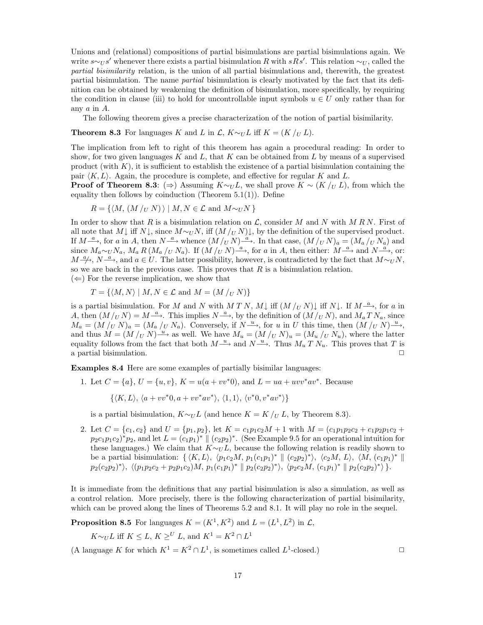Unions and (relational) compositions of partial bisimulations are partial bisimulations again. We write  $s \sim_U s'$  whenever there exists a partial bisimulation R with  $sRs'$ . This relation  $\sim_U$ , called the partial bisimilarity relation, is the union of all partial bisimulations and, therewith, the greatest partial bisimulation. The name partial bisimulation is clearly motivated by the fact that its definition can be obtained by weakening the definition of bisimulation, more specifically, by requiring the condition in clause (iii) to hold for uncontrollable input symbols  $u \in U$  only rather than for any a in A.

The following theorem gives a precise characterization of the notion of partial bisimilarity.

**Theorem 8.3** For languages K and L in  $\mathcal{L}$ , K $\sim_U L$  iff K = (K /<sub>U</sub> L).

The implication from left to right of this theorem has again a procedural reading: In order to show, for two given languages K and L, that K can be obtained from L by means of a supervised product (with  $K$ ), it is sufficient to establish the existence of a partial bisimulation containing the pair  $\langle K, L \rangle$ . Again, the procedure is complete, and effective for regular K and L.

**Proof of Theorem 8.3**: (⇒) Assuming  $K \sim U$ , we shall prove  $K \sim (K / U L)$ , from which the equality then follows by coinduction (Theorem  $5.1(1)$ ). Define

$$
R = \{ \langle M, (M /_U N) \rangle \mid M, N \in \mathcal{L} \text{ and } M \sim_U N \}
$$

In order to show that R is a bisimulation relation on  $\mathcal{L}$ , consider M and N with M RN. First of all note that  $M\downarrow$  iff  $N\downarrow$ , since  $M\sim_l N$ , iff  $(M/(\overline{U}N)\downarrow)$ , by the definition of the supervised product. If  $M \xrightarrow{a}$ , for a in A, then  $N \xrightarrow{a}$  whence  $(M /_U N) \xrightarrow{a}$ . In that case,  $(M /_U N)_a = (M_a /_U N_a)$  and since  $M_a \sim_U N_a$ ,  $M_a R (M_a /_U N_a)$ . If  $(M /_U N) \stackrel{a}{\longrightarrow}$ , for a in A, then either:  $M \stackrel{a}{\longrightarrow}$  and  $N \stackrel{a}{\longrightarrow}$ , or:  $M \to \infty$ ,  $N \to \infty$ , and  $a \in U$ . The latter possibility, however, is contradicted by the fact that  $M \sim_U N$ , so we are back in the previous case. This proves that  $R$  is a bisimulation relation.  $(\Leftarrow)$  For the reverse implication, we show that

$$
T = \{ \langle M, N \rangle \mid M, N \in \mathcal{L} \text{ and } M = (M /_U N) \}
$$

is a partial bisimulation. For M and N with MTN, M iff  $(M /_U N)$  iff  $N \downarrow$ . If  $M \xrightarrow{a}$ , for a in A, then  $(M/U N) = M \stackrel{a}{\longrightarrow}$ . This implies  $N \stackrel{a}{\longrightarrow}$ , by the definition of  $(M/U N)$ , and  $M_a T N_a$ , since  $M_a = (M /_U N)_a = (M_a /_U N_a)$ . Conversely, if  $N \xrightarrow{u}$ , for u in U this time, then  $(M /_U N) \xrightarrow{u}$ , and thus  $M = (M /_U N)^{\underline{u}}$  as well. We have  $M_u = (M /_U N)_u = (M_u /_U N_u)$ , where the latter equality follows from the fact that both  $M \stackrel{u}{\longrightarrow}$  and  $N \stackrel{u}{\longrightarrow}$ . Thus  $M_u T N_u$ . This proves that T is a partial bisimulation.

**Examples 8.4** Here are some examples of partially bisimilar languages:

1. Let  $C = \{a\}, U = \{u, v\}, K = u(a + vv^*0), \text{ and } L = ua + uvv^*av^*$ . Because

 $\{\langle K, L \rangle, \langle a + vv^*0, a + vv^*av^* \rangle, \langle 1, 1 \rangle, \langle v^*0, v^*av^* \rangle\}$ 

is a partial bisimulation,  $K \sim_U L$  (and hence  $K = K /_{U} L$ , by Theorem 8.3).

2. Let  $C = \{c_1, c_2\}$  and  $U = \{p_1, p_2\}$ , let  $K = c_1p_1c_2M + 1$  with  $M = (c_1p_1p_2c_2 + c_1p_2p_1c_2 + c_1p_2c_2 + c_1p_2c_2 + c_1p_2c_2 + c_1p_2c_2 + c_1p_2c_2 + c_1p_2c_2 + c_1p_2c_2 + c_1p_2c_2 + c_1p_2c_2 + c_1p_2c_2 + c_1p_2c_2 + c_1p_2c_2 +$  $p_2c_1p_1c_2$ <sup>\*</sup> $p_2$ , and let  $L = (c_1p_1)^* \parallel (c_2p_2)^*$ . (See Example 9.5 for an operational intuition for these languages.) We claim that  $K \sim U L$ , because the following relation is readily shown to be a partial bisimulation:  $\{ \langle K, L \rangle, \langle p_1c_2M, p_1(c_1p_1) * \parallel (c_2p_2) * \rangle, \langle c_2M, L \rangle, \langle M, (c_1p_1) * \parallel (c_2p_2) * \rangle \}$  $p_2(c_2p_2)$ <sup>\*</sup>),  $\langle (p_1p_2c_2 + p_2p_1c_2)M, p_1(c_1p_1)$ \*  $\| p_2(c_2p_2)$ \*),  $\langle p_2c_2M, (c_1p_1)$ \*  $\| p_2(c_2p_2)$ \*) }.

It is immediate from the definitions that any partial bisimulation is also a simulation, as well as a control relation. More precisely, there is the following characterization of partial bisimilarity, which can be proved along the lines of Theorems 5.2 and 8.1. It will play no role in the sequel.

**Proposition 8.5** For languages  $K = (K^1, K^2)$  and  $L = (L^1, L^2)$  in  $\mathcal{L}$ ,

 $K\sim_U L$  iff  $K\leq L, K\geq^U L$ , and  $K^1=K^2\cap L^1$ 

(A language K for which  $K^1 = K^2 \cap L^1$ , is sometimes called  $L^1$ -closed.)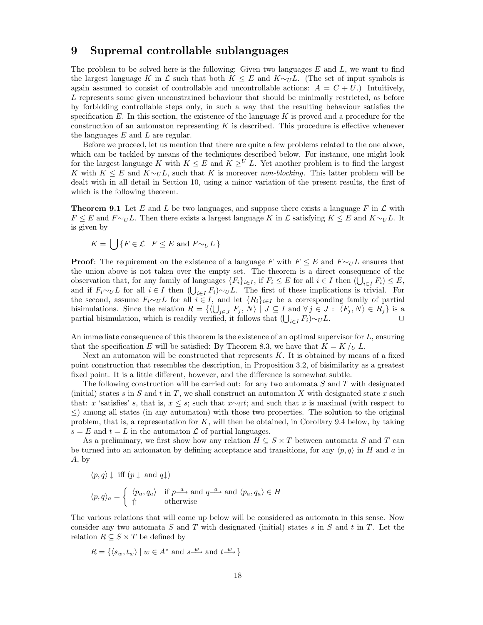#### **9 Supremal controllable sublanguages**

The problem to be solved here is the following: Given two languages  $E$  and  $L$ , we want to find the largest language K in  $\mathcal L$  such that both  $K \leq E$  and  $K \sim_U L$ . (The set of input symbols is again assumed to consist of controllable and uncontrollable actions:  $A = C + U$ . Intuitively, L represents some given unconstrained behaviour that should be minimally restricted, as before by forbidding controllable steps only, in such a way that the resulting behaviour satisfies the specification  $E$ . In this section, the existence of the language  $K$  is proved and a procedure for the construction of an automaton representing  $K$  is described. This procedure is effective whenever the languages  $E$  and  $L$  are regular.

Before we proceed, let us mention that there are quite a few problems related to the one above, which can be tackled by means of the techniques described below. For instance, one might look for the largest language K with  $K \leq E$  and  $K \geq^{U} L$ . Yet another problem is to find the largest K with  $K \leq E$  and  $K \sim_U L$ , such that K is moreover non-blocking. This latter problem will be dealt with in all detail in Section 10, using a minor variation of the present results, the first of which is the following theorem.

**Theorem 9.1** Let E and L be two languages, and suppose there exists a language F in  $\mathcal{L}$  with  $F \leq E$  and  $F \sim_U L$ . Then there exists a largest language K in  $\mathcal L$  satisfying  $K \leq E$  and  $K \sim_U L$ . It is given by

$$
K = \bigcup \{ F \in \mathcal{L} \mid F \le E \text{ and } F \sim_U L \}
$$

**Proof**: The requirement on the existence of a language F with  $F \leq E$  and  $F \sim_U L$  ensures that the union above is not taken over the empty set. The theorem is a direct consequence of the observation that, for any family of languages  $\{F_i\}_{i\in I}$ , if  $F_i \leq E$  for all  $i \in I$  then  $(\bigcup_{i\in I} F_i) \leq E$ , and if  $F_i \sim_U L$  for all  $i \in I$  then  $(\bigcup_{i \in I} F_i) \sim_U L$ . The first of these implications is trivial. For the second, assume  $F_i \sim_U L$  for all  $i \in I$ , and let  $\{R_i\}_{i \in I}$  be a corresponding family of partial bisimulations. Since the relation  $R = \{ \langle \bigcup_{j \in J} F_j, N \rangle \mid J \subseteq I \text{ and } \forall j \in J : \langle F_j, N \rangle \in R_j \}$  is a partial bisimulation, which is readily verified, it follows that  $(\bigcup_{i\in I} F_i) \sim_U L$ .  $\Box$ 

An immediate consequence of this theorem is the existence of an optimal supervisor for  $L$ , ensuring that the specification E will be satisfied: By Theorem 8.3, we have that  $K = K / U L$ .

Next an automaton will be constructed that represents K. It is obtained by means of a fixed point construction that resembles the description, in Proposition 3.2, of bisimilarity as a greatest fixed point. It is a little different, however, and the difference is somewhat subtle.

The following construction will be carried out: for any two automata S and T with designated (initial) states s in S and t in T, we shall construct an automaton X with designated state x such that: x 'satisfies' s, that is,  $x \leq s$ ; such that  $x \sim_U t$ ; and such that x is maximal (with respect to  $\leq$ ) among all states (in any automaton) with those two properties. The solution to the original problem, that is, a representation for  $K$ , will then be obtained, in Corollary 9.4 below, by taking  $s = E$  and  $t = L$  in the automaton  $\mathcal L$  of partial languages.

As a preliminary, we first show how any relation  $H \subseteq S \times T$  between automata S and T can be turned into an automaton by defining acceptance and transitions, for any  $\langle p, q \rangle$  in H and a in A, by

$$
\langle p, q \rangle \downarrow \text{ iff } (p \downarrow \text{ and } q \downarrow)
$$
  

$$
\langle p, q \rangle_a = \begin{cases} \langle p_a, q_a \rangle & \text{if } p \xrightarrow{a} \text{ and } q \xrightarrow{a} \text{ and } \langle p_a, q_a \rangle \in H \\ \Uparrow & \text{otherwise} \end{cases}
$$

The various relations that will come up below will be considered as automata in this sense. Now consider any two automata S and T with designated (initial) states s in S and t in T. Let the relation  $R \subseteq S \times T$  be defined by

$$
R = \{ \langle s_w, t_w \rangle \mid w \in A^* \text{ and } s \xrightarrow{w} \text{ and } t \xrightarrow{w} \}
$$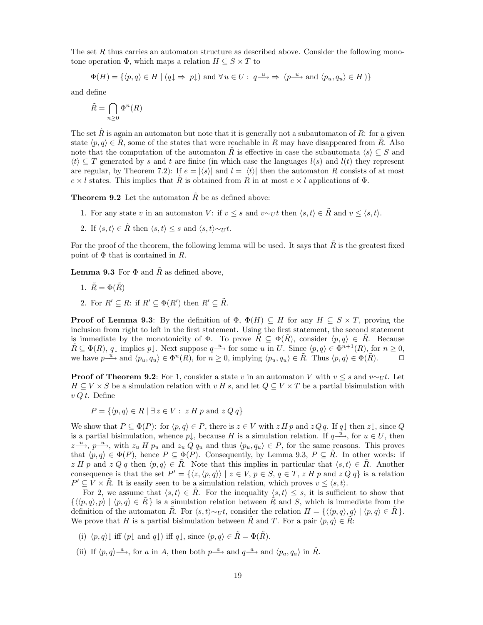The set R thus carries an automaton structure as described above. Consider the following monotone operation  $\Phi$ , which maps a relation  $H \subseteq S \times T$  to

$$
\Phi(H) = \{ \langle p, q \rangle \in H \mid (q \downarrow \Rightarrow p \downarrow) \text{ and } \forall u \in U : q \xrightarrow{u} \Rightarrow (p \xrightarrow{u} \text{ and } \langle p_u, q_u \rangle \in H) \}
$$

and define

$$
\tilde{R}=\bigcap_{n\geq 0}\Phi^n(R)
$$

The set  $\hat{R}$  is again an automaton but note that it is generally not a subautomaton of  $R$ : for a given state  $\langle p,q \rangle \in \tilde{R}$ , some of the states that were reachable in R may have disappeared from  $\tilde{R}$ . Also note that the computation of the automaton R is effective in case the subautomata  $\langle s \rangle \subseteq S$  and  $\langle t \rangle \subset T$  generated by s and t are finite (in which case the languages  $l(s)$  and  $l(t)$  they represent are regular, by Theorem 7.2): If  $e = |\langle s \rangle|$  and  $l = |\langle t \rangle|$  then the automaton R consists of at most  $e \times l$  states. This implies that R is obtained from R in at most  $e \times l$  applications of  $\Phi$ .

**Theorem 9.2** Let the automaton  $\tilde{R}$  be as defined above:

- 1. For any state v in an automaton V: if  $v \leq s$  and  $v \sim_U t$  then  $\langle s, t \rangle \in \tilde{R}$  and  $v \leq \langle s, t \rangle$ .
- 2. If  $\langle s, t \rangle \in \tilde{R}$  then  $\langle s, t \rangle \leq s$  and  $\langle s, t \rangle \sim_U t$ .

For the proof of the theorem, the following lemma will be used. It says that  $\tilde{R}$  is the greatest fixed point of  $\Phi$  that is contained in R.

**Lemma 9.3** For  $\Phi$  and R as defined above,

- 1.  $\tilde{R} = \Phi(\tilde{R})$
- 2. For  $R' \subseteq R$ : if  $R' \subseteq \Phi(R')$  then  $R' \subseteq \tilde{R}$ .

**Proof of Lemma 9.3**: By the definition of  $\Phi$ ,  $\Phi(H) \subseteq H$  for any  $H \subseteq S \times T$ , proving the inclusion from right to left in the first statement. Using the first statement, the second statement is immediate by the monotonicity of  $\Phi$ . To prove  $\tilde{R} \subseteq \Phi(\tilde{R})$ , consider  $\langle p, q \rangle \in \tilde{R}$ . Because  $\tilde{R} \subseteq \Phi(R), q \downarrow \text{ implies } p \downarrow.$  Next suppose  $q \stackrel{u}{\longrightarrow}$  for some u in U. Since  $\langle p, q \rangle \in \Phi^{n+1}(R)$ , for  $n \geq 0$ , we have  $p \stackrel{u}{\longrightarrow}$  and  $\langle p_u, q_u \rangle \in \Phi^n(R)$ , for  $n \geq 0$ , implying  $\langle p_u, q_u \rangle \in \tilde{R}$ . Thus  $\langle p, q \rangle \in \Phi(\tilde{R})$ .

**Proof of Theorem 9.2**: For 1, consider a state v in an automaton V with  $v \leq s$  and  $v \sim_U t$ . Let  $H \subseteq V \times S$  be a simulation relation with v H s, and let  $Q \subseteq V \times T$  be a partial bisimulation with  $vQt$ . Define

 $P = \{ \langle p, q \rangle \in R \mid \exists z \in V : z H p \text{ and } z Q q \}$ 

We show that  $P \subseteq \Phi(P)$ : for  $\langle p, q \rangle \in P$ , there is  $z \in V$  with  $z \in \Psi$  and  $z \in Qq$ . If  $q \downarrow$  then  $z \downarrow$ , since Q is a partial bisimulation, whence  $p\downarrow$ , because H is a simulation relation. If  $q \xrightarrow{u}$ , for  $u \in U$ , then  $z \xrightarrow{u}$ ,  $p \xrightarrow{u}$ , with  $z_u$  H  $p_u$  and  $z_u$  Q  $q_u$  and thus  $\langle p_u, q_u \rangle \in P$ , for the same reasons. This proves that  $\langle p,q \rangle \in \Phi(P)$ , hence  $P \subseteq \Phi(P)$ . Consequently, by Lemma 9.3,  $P \subseteq \tilde{R}$ . In other words: if  $z\,H\,p$  and  $z\,Q\,q$  then  $\langle p,q\rangle \in R$ . Note that this implies in particular that  $\langle s,t\rangle \in R$ . Another consequence is that the set  $P' = \{ \langle z, \langle p, q \rangle \rangle | z \in V, p \in S, q \in T, z H p \text{ and } z Q q \}$  is a relation  $P' \subseteq V \times \overline{R}$ . It is easily seen to be a simulation relation, which proves  $v \leq \langle s, t \rangle$ .

For 2, we assume that  $\langle s, t \rangle \in \hat{R}$ . For the inequality  $\langle s, t \rangle \leq s$ , it is sufficient to show that  $\{\langle\langle p,q\rangle, p\rangle | \langle p,q\rangle \in \hat{R}\}\$ is a simulation relation between  $\hat{R}$  and S, which is immediate from the definition of the automaton R. For  $\langle s, t \rangle \sim_U t$ , consider the relation  $H = {\langle \langle p, q \rangle, q \rangle | \langle p, q \rangle \in \hat{R}}$ . We prove that H is a partial bisimulation between  $\tilde{R}$  and T. For a pair  $\langle p, q \rangle \in \tilde{R}$ :

- (i)  $\langle p,q \rangle \downarrow$  iff  $(p \downarrow$  and  $q \downarrow$ ) iff  $q \downarrow$ , since  $\langle p,q \rangle \in \tilde{R} = \Phi(\tilde{R})$ .
- (ii) If  $\langle p,q\rangle \stackrel{a}{\longrightarrow}$ , for a in A, then both  $p \stackrel{a}{\longrightarrow}$  and  $q \stackrel{a}{\longrightarrow}$  and  $\langle p_a, q_a \rangle$  in  $\tilde{R}$ .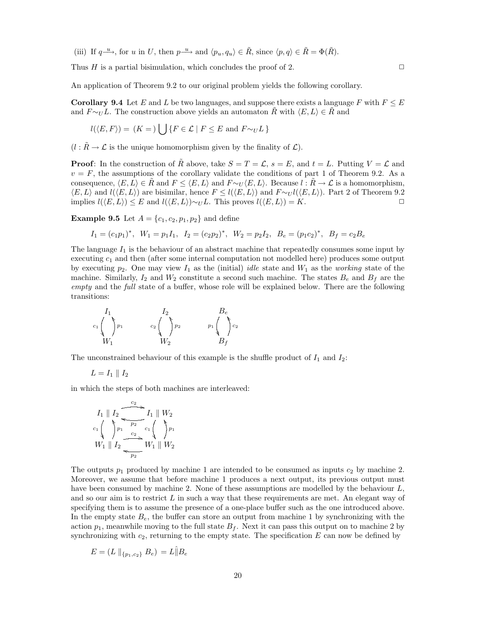(iii) If  $q \stackrel{u}{\longrightarrow}$ , for u in U, then  $p \stackrel{u}{\longrightarrow}$  and  $\langle p_u, q_u \rangle \in \tilde{R}$ , since  $\langle p, q \rangle \in \tilde{R} = \Phi(\tilde{R})$ .

Thus  $H$  is a partial bisimulation, which concludes the proof of 2.  $\Box$ 

An application of Theorem 9.2 to our original problem yields the following corollary.

**Corollary 9.4** Let E and L be two languages, and suppose there exists a language F with  $F \leq E$ and  $F \sim_U L$ . The construction above yields an automaton R with  $\langle E, L \rangle \in R$  and

$$
l(\langle E, F \rangle) = (K =) \bigcup \{ F \in \mathcal{L} \mid F \le E \text{ and } F \sim_U L \}
$$

 $(l : \tilde{R} \to \mathcal{L}$  is the unique homomorphism given by the finality of  $\mathcal{L}$ ).

**Proof**: In the construction of R above, take  $S = T = \mathcal{L}$ ,  $s = E$ , and  $t = L$ . Putting  $V = \mathcal{L}$  and  $v = F$ , the assumptions of the corollary validate the conditions of part 1 of Theorem 9.2. As a consequence,  $\langle E,L \rangle \in \tilde{R}$  and  $F \leq \langle E,L \rangle$  and  $F \sim_U \langle E,L \rangle$ . Because  $l : \tilde{R} \to \mathcal{L}$  is a homomorphism,  $\langle E,L\rangle$  and  $l(\langle E,L\rangle)$  are bisimilar, hence  $F \leq l(\langle E,L\rangle)$  and  $F \sim_U l(\langle E,L\rangle)$ . Part 2 of Theorem 9.2 implies  $l(\langle E,L \rangle) \leq E$  and  $l(\langle E,L \rangle) \sim_U L$ . This proves  $l(\langle E,L \rangle) = K$ . □

**Example 9.5** Let  $A = \{c_1, c_2, p_1, p_2\}$  and define

$$
I_1 = (c_1p_1)^*, \ W_1 = p_1I_1, \ I_2 = (c_2p_2)^*, \ W_2 = p_2I_2, \ B_e = (p_1c_2)^*, \ B_f = c_2B_e
$$

The language  $I_1$  is the behaviour of an abstract machine that repeatedly consumes some input by executing  $c_1$  and then (after some internal computation not modelled here) produces some output by executing  $p_2$ . One may view  $I_1$  as the (initial) *idle* state and  $W_1$  as the *working* state of the machine. Similarly,  $I_2$  and  $W_2$  constitute a second such machine. The states  $B_e$  and  $B_f$  are the empty and the full state of a buffer, whose role will be explained below. There are the following transitions:

$$
c_{1}\begin{pmatrix} I_{1} & & & I_{2} & & & B_{e} \\ & \ddots & & & & & \\ & & & & & & \\ W_{1} & & & & & & \\ & & & & & & & \\ & & & & & & & & \\ & & & & & & & & B_{f} \end{pmatrix} c_{2}
$$

The unconstrained behaviour of this example is the shuffle product of  $I_1$  and  $I_2$ :

$$
L=I_1\parallel I_2
$$

in which the steps of both machines are interleaved:

$$
I_{1} \parallel I_{2}
$$
\n
$$
I_{2} \parallel V_{2}
$$
\n
$$
I_{1} \parallel W_{2}
$$
\n
$$
V_{1} \parallel I_{2}
$$
\n
$$
V_{1} \parallel V_{2}
$$
\n
$$
V_{1} \parallel W_{2}
$$

The outputs  $p_1$  produced by machine 1 are intended to be consumed as inputs  $c_2$  by machine 2. Moreover, we assume that before machine 1 produces a next output, its previous output must have been consumed by machine 2. None of these assumptions are modelled by the behaviour L, and so our aim is to restrict  $L$  in such a way that these requirements are met. An elegant way of specifying them is to assume the presence of a one-place buffer such as the one introduced above. In the empty state  $B_e$ , the buffer can store an output from machine 1 by synchronizing with the action  $p_1$ , meanwhile moving to the full state  $B_f$ . Next it can pass this output on to machine 2 by synchronizing with  $c_2$ , returning to the empty state. The specification  $E$  can now be defined by

$$
E = (L \parallel_{\{p_1, c_2\}} B_e) = L \hat{\parallel} B_e
$$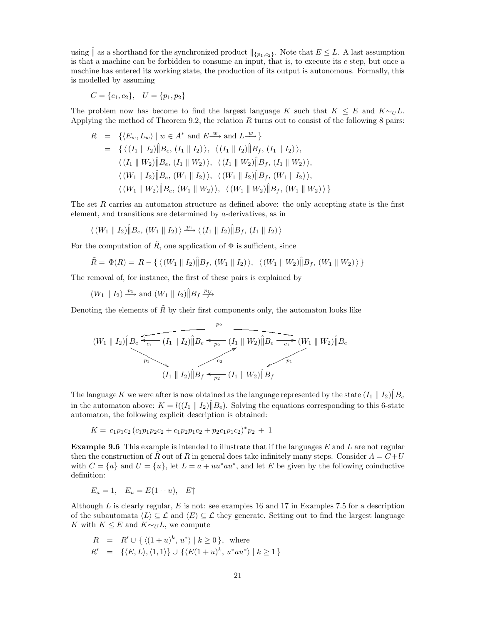using  $\parallel$  as a shorthand for the synchronized product  $\parallel_{\{p_1,c_2\}}$ . Note that  $E \leq L$ . A last assumption is that a machine can be forbidden to consume an input, that is, to execute its  $c$  step, but once a machine has entered its working state, the production of its output is autonomous. Formally, this is modelled by assuming

$$
C = \{c_1, c_2\}, \quad U = \{p_1, p_2\}
$$

The problem now has become to find the largest language K such that  $K \leq E$  and  $K \sim_U L$ . Applying the method of Theorem 9.2, the relation  $R$  turns out to consist of the following 8 pairs:

$$
R = \{ \langle E_w, L_w \rangle \mid w \in A^* \text{ and } E \xrightarrow{w} \text{ and } L \xrightarrow{w} \}
$$
  
\n
$$
= \{ \langle (I_1 \parallel I_2) \parallel B_e, (I_1 \parallel I_2) \rangle, \langle (I_1 \parallel I_2) \parallel B_f, (I_1 \parallel I_2) \rangle, \langle (I_1 \parallel W_2) \parallel B_f, (I_1 \parallel W_2) \rangle, \langle (I_1 \parallel W_2) \parallel B_f, (I_1 \parallel W_2) \rangle, \langle (W_1 \parallel I_2) \parallel B_e, (W_1 \parallel I_2) \rangle, \langle (W_1 \parallel I_2) \parallel B_f, (W_1 \parallel I_2) \rangle, \langle (W_1 \parallel W_2) \parallel B_e, (W_1 \parallel W_2) \rangle, \langle (W_1 \parallel W_2) \parallel B_f, (W_1 \parallel W_2) \rangle \}
$$

The set R carries an automaton structure as defined above: the only accepting state is the first element, and transitions are determined by a-derivatives, as in

$$
\langle (W_1 \parallel I_2) \hat{\parallel} B_e, (W_1 \parallel I_2) \rangle \xrightarrow{p_1} \langle (I_1 \parallel I_2) \hat{\parallel} B_f, (I_1 \parallel I_2) \rangle
$$

For the computation of  $\tilde{R}$ , one application of  $\Phi$  is sufficient, since

$$
\tilde{R} = \Phi(R) = R - \{ \langle (W_1 \parallel I_2) \hat{\parallel} B_f, (W_1 \parallel I_2) \rangle, \langle (W_1 \parallel W_2) \hat{\parallel} B_f, (W_1 \parallel W_2) \rangle \}
$$

The removal of, for instance, the first of these pairs is explained by

 $(W_1 \parallel I_2) \stackrel{p_1}{\longrightarrow}$  and  $(W_1 \parallel I_2) \hat{\parallel} B_f \stackrel{p_1}{\longrightarrow}$ 

Denoting the elements of  $\tilde{R}$  by their first components only, the automaton looks like  $p_2$ 

$$
(W_1 \parallel I_2) \parallel B_e \xrightarrow{c_1} (I_1 \parallel I_2) \parallel B_e \xrightarrow{c_2} (I_1 \parallel W_2) \parallel B_e \xrightarrow{c_1} (W_1 \parallel W_2) \parallel B_e
$$
  

$$
(I_1 \parallel I_2) \parallel B_f \xrightarrow{c_2} (I_1 \parallel W_2) \parallel B_f
$$

The language K we were after is now obtained as the language represented by the state  $(I_1 \parallel I_2)\parallel B_e$ in the automaton above:  $K = l((I_1 \parallel I_2)\hat{\parallel}B_e)$ . Solving the equations corresponding to this 6-state automaton, the following explicit description is obtained:

$$
K = c_1 p_1 c_2 (c_1 p_1 p_2 c_2 + c_1 p_2 p_1 c_2 + p_2 c_1 p_1 c_2)^* p_2 + 1
$$

**Example 9.6** This example is intended to illustrate that if the languages E and L are not regular then the construction of R out of R in general does take infinitely many steps. Consider  $A = C+U$ with  $C = \{a\}$  and  $U = \{u\}$ , let  $L = a + uu^*au^*$ , and let E be given by the following coinductive definition:

$$
E_a = 1, \quad E_u = E(1+u), \quad E\uparrow
$$

Although L is clearly regular, E is not: see examples 16 and 17 in Examples 7.5 for a description of the subautomata  $\langle L \rangle \subseteq \mathcal{L}$  and  $\langle E \rangle \subseteq \mathcal{L}$  they generate. Setting out to find the largest language K with  $K \leq E$  and  $K \sim_U L$ , we compute

$$
R = R' \cup \{ \langle (1+u)^k, u^* \rangle \mid k \ge 0 \}, \text{ where}
$$
  

$$
R' = \{ \langle E, L \rangle, \langle 1, 1 \rangle \} \cup \{ \langle E(1+u)^k, u^*au^* \rangle \mid k \ge 1 \}
$$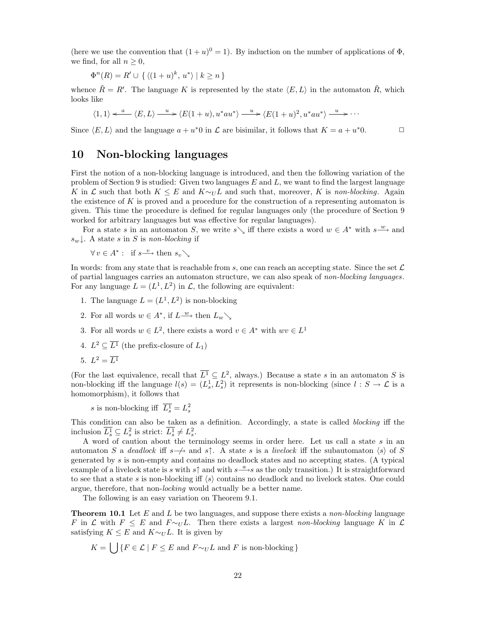(here we use the convention that  $(1 + u)^0 = 1$ ). By induction on the number of applications of  $\Phi$ , we find, for all  $n \geq 0$ ,

$$
\Phi^{n}(R) = R' \cup \{ \langle (1+u)^{k}, u^* \rangle \mid k \ge n \}
$$

whence  $\tilde{R} = R'$ . The language K is represented by the state  $\langle E, L \rangle$  in the automaton  $\tilde{R}$ , which looks like

$$
\langle 1,1\rangle \xleftarrow{a} \langle E,L\rangle \xrightarrow{u} \langle E(1+u),u^*au^*\rangle \xrightarrow{u} \langle E(1+u)^2,u^*au^*\rangle \xrightarrow{u} \cdots
$$

Since  $\langle E,L \rangle$  and the language  $a + u^*0$  in  $\mathcal L$  are bisimilar, it follows that  $K = a + u^*0$ .

### **10 Non-blocking languages**

First the notion of a non-blocking language is introduced, and then the following variation of the problem of Section 9 is studied: Given two languages  $E$  and  $L$ , we want to find the largest language K in L such that both  $K \leq E$  and  $K \sim_U L$  and such that, moreover, K is non-blocking. Again the existence of K is proved and a procedure for the construction of a representing automaton is given. This time the procedure is defined for regular languages only (the procedure of Section 9 worked for arbitrary languages but was effective for regular languages).

For a state s in an automaton S, we write s iff there exists a word  $w \in A^*$  with  $s \stackrel{w}{\longrightarrow}$  and  $s_w$ . A state s in S is non-blocking if

 $\forall v \in A^* : \text{ if } s \xrightarrow{v} \text{ then } s_v \setminus$ 

In words: from any state that is reachable from s, one can reach an accepting state. Since the set  $\mathcal L$ of partial languages carries an automaton structure, we can also speak of non-blocking languages. For any language  $L = (L^1, L^2)$  in  $\mathcal{L}$ , the following are equivalent:

- 1. The language  $L = (L^1, L^2)$  is non-blocking
- 2. For all words  $w \in A^*$ , if  $L \stackrel{w}{\longrightarrow}$  then  $L_w \setminus$
- 3. For all words  $w \in L^2$ , there exists a word  $v \in A^*$  with  $wv \in L^1$
- 4.  $L^2 \subseteq \overline{L^1}$  (the prefix-closure of  $L_1$ )

$$
5. \, L^2 = \overline{L^1}
$$

(For the last equivalence, recall that  $\overline{L^1} \subseteq L^2$ , always.) Because a state s in an automaton S is non-blocking iff the language  $l(s)=(L_s^1, L_s^2)$  it represents is non-blocking (since  $l : S \to \mathcal{L}$  is a homomorphism), it follows that

s is non-blocking iff  $\overline{L_s^1} = L_s^2$ 

This condition can also be taken as a definition. Accordingly, a state is called blocking iff the inclusion  $\overline{L_s^1} \subseteq L_s^2$  is strict:  $\overline{L_s^1} \neq L_s^2$ .

A word of caution about the terminology seems in order here. Let us call a state  $s$  in an automaton S a deadlock iff s $\rightarrow$  and s↑. A state s is a livelock iff the subautomaton  $\langle s \rangle$  of S generated by s is non-empty and contains no deadlock states and no accepting states. (A typical example of a livelock state is s with s $\uparrow$  and with  $s\frac{a}{s}$  as the only transition.) It is straightforward to see that a state s is non-blocking iff  $\langle s \rangle$  contains no deadlock and no livelock states. One could argue, therefore, that non-*locking* would actually be a better name.

The following is an easy variation on Theorem 9.1.

**Theorem 10.1** Let E and L be two languages, and suppose there exists a *non-blocking* language F in L with  $F \leq E$  and  $F \sim_U L$ . Then there exists a largest non-blocking language K in L satisfying  $K \leq E$  and  $K \sim_U L$ . It is given by

$$
K = \bigcup \{ F \in \mathcal{L} \mid F \le E \text{ and } F \sim_U L \text{ and } F \text{ is non-blocking} \}
$$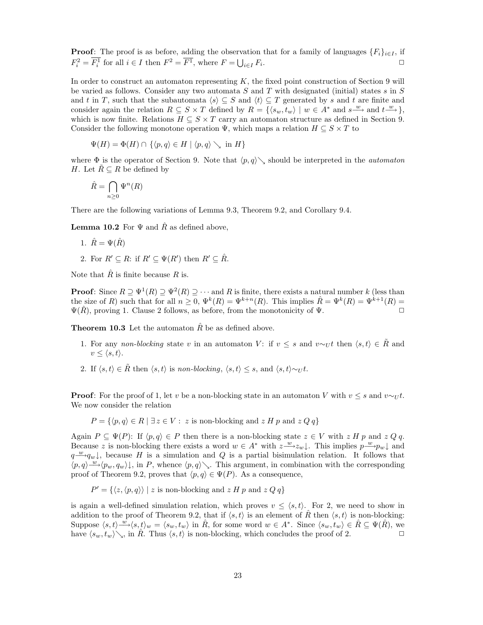**Proof**: The proof is as before, adding the observation that for a family of languages  ${F_i}_{i \in I}$ , if  $F_i^2 = \overline{F_i^1}$  for all  $i \in I$  then  $F^2 = \overline{F^1}$ , where  $F = \bigcup_{i \in I} F_i$ .

In order to construct an automaton representing  $K$ , the fixed point construction of Section 9 will be varied as follows. Consider any two automata  $S$  and  $T$  with designated (initial) states  $s$  in  $S$ and t in T, such that the subautomata  $\langle s \rangle \subseteq S$  and  $\langle t \rangle \subseteq T$  generated by s and t are finite and consider again the relation  $R \subseteq S \times T$  defined by  $R = \{ \langle s_w, t_w \rangle \mid w \in A^* \text{ and } s \xrightarrow{w} \text{ and } t \xrightarrow{w} \}$ , which is now finite. Relations  $H \subseteq S \times T$  carry an automaton structure as defined in Section 9. Consider the following monotone operation  $\Psi$ , which maps a relation  $H \subseteq S \times T$  to

$$
\Psi(H) = \Phi(H) \cap \{ \langle p, q \rangle \in H \mid \langle p, q \rangle \searrow \text{ in } H \}
$$

where  $\Phi$  is the operator of Section 9. Note that  $\langle p,q\rangle\searrow$  should be interpreted in the *automaton H*. Let  $\tilde{R} \subseteq R$  be defined by

$$
\hat{R}=\bigcap_{n\geq 0}\Psi^n(R)
$$

There are the following variations of Lemma 9.3, Theorem 9.2, and Corollary 9.4.

**Lemma 10.2** For  $\Psi$  and  $\hat{R}$  as defined above,

1. 
$$
\hat{R} = \Psi(\hat{R})
$$

2. For  $R' \subseteq R$ : if  $R' \subseteq \Psi(R')$  then  $R' \subseteq \hat{R}$ .

Note that  $\hat{R}$  is finite because  $R$  is.

**Proof**: Since  $R \supseteq \Psi^1(R) \supseteq \Psi^2(R) \supseteq \cdots$  and R is finite, there exists a natural number k (less than the size of R) such that for all  $n \geq 0$ ,  $\Psi^k(R) = \Psi^{k+n}(R)$ . This implies  $\hat{R} = \Psi^k(R) = \Psi^{k+1}(R) =$  $\Psi(\hat{R})$ , proving 1. Clause 2 follows, as before, from the monotonicity of  $\Psi$ .

**Theorem 10.3** Let the automaton  $\hat{R}$  be as defined above.

- 1. For any non-blocking state v in an automaton V: if  $v \leq s$  and  $v \sim_U t$  then  $\langle s, t \rangle \in \tilde{R}$  and  $v \leq \langle s, t \rangle$ .
- 2. If  $\langle s, t \rangle \in \tilde{R}$  then  $\langle s, t \rangle$  is non-blocking,  $\langle s, t \rangle \leq s$ , and  $\langle s, t \rangle \sim_U t$ .

**Proof**: For the proof of 1, let v be a non-blocking state in an automaton V with  $v \leq s$  and  $v \sim_U t$ . We now consider the relation

 $P = \{ \langle p, q \rangle \in R \mid \exists z \in V : z \text{ is non-blocking and } z H p \text{ and } z Q q \}$ 

Again  $P \subseteq \Psi(P)$ : If  $\langle p, q \rangle \in P$  then there is a non-blocking state  $z \in V$  with  $z \in H$  p and  $z \in Q$ q. Because z is non-blocking there exists a word  $w \in A^*$  with  $z \stackrel{w}{\longrightarrow} z_w \downarrow$ . This implies  $p \stackrel{w}{\longrightarrow} p_w \downarrow$  and  $q \rightarrow q_w \downarrow$ , because H is a simulation and Q is a partial bisimulation relation. It follows that  $\langle p,q\rangle \stackrel{w}{\longrightarrow} \langle p_w, q_w\rangle\downarrow$ , in P, whence  $\langle p,q\rangle\searrow$ . This argument, in combination with the corresponding proof of Theorem 9.2, proves that  $\langle p,q \rangle \in \Psi(P)$ . As a consequence,

$$
P' = \{ \langle z, \langle p, q \rangle \rangle \mid z \text{ is non-blocking and } z \text{ } H \text{ } p \text{ and } z \text{ } Q \text{ } q \}
$$

is again a well-defined simulation relation, which proves  $v \leq \langle s, t \rangle$ . For 2, we need to show in addition to the proof of Theorem 9.2, that if  $\langle s, t \rangle$  is an element of R then  $\langle s, t \rangle$  is non-blocking: Suppose  $\langle s, t \rangle \stackrel{w}{\longrightarrow} \langle s, t \rangle_w = \langle s_w, t_w \rangle$  in  $\hat{R}$ , for some word  $w \in A^*$ . Since  $\langle s_w, t_w \rangle \in \hat{R} \subseteq \Psi(\hat{R})$ , we have  $\langle s_w, t_w \rangle \searrow$ , in  $\hat{R}$ . Thus  $\langle s, t \rangle$  is non-blocking, which concludes the proof of 2.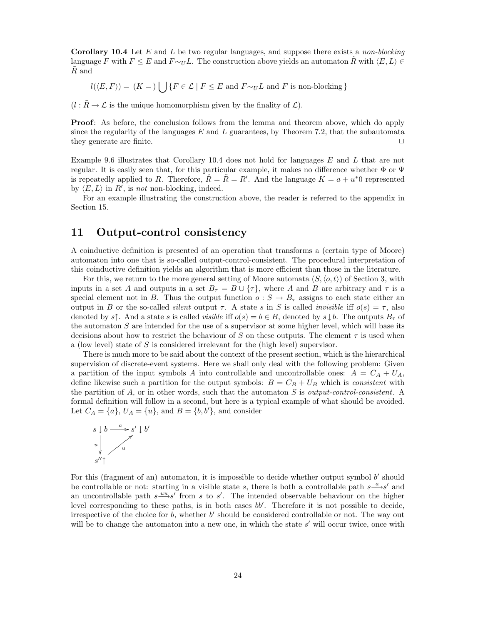**Corollary 10.4** Let E and L be two regular languages, and suppose there exists a non-blocking language F with  $F \le E$  and  $F \sim_U L$ . The construction above yields an automaton R with  $\langle E, L \rangle \in$  $R$  and

 $l(\langle E,F \rangle) = (K = )$  [ $\bigcup \{F \in \mathcal{L} \mid F \leq E \text{ and } F \sim_U L \text{ and } F \text{ is non-blocking } \}$ 

 $(l : \tilde{R} \to \mathcal{L}$  is the unique homomorphism given by the finality of  $\mathcal{L}$ ).

**Proof**: As before, the conclusion follows from the lemma and theorem above, which do apply since the regularity of the languages  $E$  and  $L$  guarantees, by Theorem 7.2, that the subautomata they generate are finite.  $\Box$ 

Example 9.6 illustrates that Corollary 10.4 does not hold for languages E and L that are not regular. It is easily seen that, for this particular example, it makes no difference whether  $\Phi$  or  $\Psi$ is repeatedly applied to R. Therefore,  $\hat{R} = \tilde{R} = R'$ . And the language  $K = a + u^*0$  represented by  $\langle E, L \rangle$  in R', is not non-blocking, indeed.

For an example illustrating the construction above, the reader is referred to the appendix in Section 15.

#### **11 Output-control consistency**

A coinductive definition is presented of an operation that transforms a (certain type of Moore) automaton into one that is so-called output-control-consistent. The procedural interpretation of this coinductive definition yields an algorithm that is more efficient than those in the literature.

For this, we return to the more general setting of Moore automata  $(S, \langle o, t \rangle)$  of Section 3, with inputs in a set A and outputs in a set  $B_{\tau} = B \cup {\tau}$ , where A and B are arbitrary and  $\tau$  is a special element not in B. Thus the output function  $o: S \to B_{\tau}$  assigns to each state either an output in B or the so-called *silent* output  $\tau$ . A state s in S is called *invisible* iff  $o(s) = \tau$ , also denoted by s↑. And a state s is called *visible* iff  $o(s) = b \in B$ , denoted by s  $\downarrow b$ . The outputs  $B_{\tau}$  of the automaton  $S$  are intended for the use of a supervisor at some higher level, which will base its decisions about how to restrict the behaviour of S on these outputs. The element  $\tau$  is used when a (low level) state of S is considered irrelevant for the (high level) supervisor.

There is much more to be said about the context of the present section, which is the hierarchical supervision of discrete-event systems. Here we shall only deal with the following problem: Given a partition of the input symbols A into controllable and uncontrollable ones:  $A = C_A + U_A$ , define likewise such a partition for the output symbols:  $B = C_B + U_B$  which is *consistent* with the partition of  $A$ , or in other words, such that the automaton  $S$  is *output-control-consistent*. A formal definition will follow in a second, but here is a typical example of what should be avoided. Let  $C_A = \{a\}, U_A = \{u\}, \text{ and } B = \{b, b'\}, \text{ and consider}$ 



For this (fragment of an) automaton, it is impossible to decide whether output symbol  $b'$  should be controllable or not: starting in a visible state s, there is both a controllable path  $s \xrightarrow{a} s'$  and an uncontrollable path  $s \stackrel{uu}{\longrightarrow} s'$  from s to s'. The intended observable behaviour on the higher level corresponding to these paths, is in both cases  $bb'$ . Therefore it is not possible to decide, irrespective of the choice for b, whether b' should be considered controllable or not. The way out will be to change the automaton into a new one, in which the state  $s'$  will occur twice, once with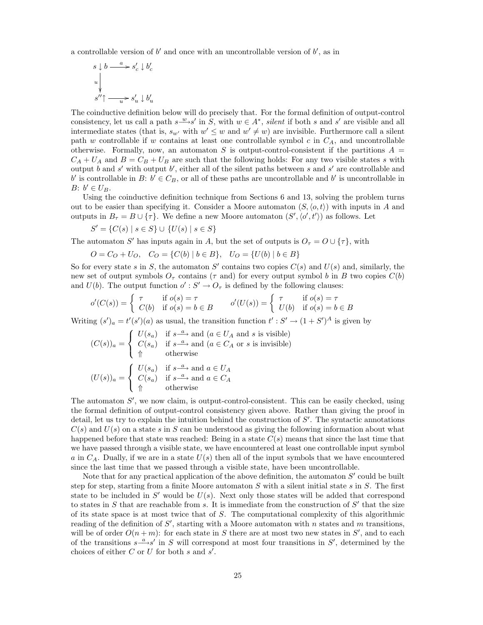a controllable version of  $b'$  and once with an uncontrollable version of  $b'$ , as in

$$
\begin{array}{l} s\downarrow b\stackrel{a}{\longrightarrow} s'_{c}\downarrow b'_{c}\\ \downarrow \\ s''\uparrow \stackrel{}{\longrightarrow} s'_{u}\downarrow b'_{u}\\ \end{array}
$$

The coinductive definition below will do precisely that. For the formal definition of output-control consistency, let us call a path  $s \xrightarrow{w} s'$  in S, with  $w \in A^*$ , silent if both s and s' are visible and all intermediate states (that is,  $s_{w'}$  with  $w' \leq w$  and  $w' \neq w$ ) are invisible. Furthermore call a silent path w controllable if w contains at least one controllable symbol c in  $C_A$ , and uncontrollable otherwise. Formally, now, an automaton S is output-control-consistent if the partitions  $A =$  $C_A + U_A$  and  $B = C_B + U_B$  are such that the following holds: For any two visible states s with output b and s' with output b', either all of the silent paths between s and s' are controllable and b' is controllable in B:  $b' \in C_B$ , or all of these paths are uncontrollable and b' is uncontrollable in  $B: b' \in U_B$ .

Using the coinductive definition technique from Sections 6 and 13, solving the problem turns out to be easier than specifying it. Consider a Moore automaton  $(S, \langle o, t \rangle)$  with inputs in A and outputs in  $B_{\tau} = B \cup {\tau}$ . We define a new Moore automaton  $(S', \langle o', t' \rangle)$  as follows. Let

$$
S' = \{ C(s) \mid s \in S \} \cup \{ U(s) \mid s \in S \}
$$

The automaton S' has inputs again in A, but the set of outputs is  $O<sub>\tau</sub> = O \cup {\tau}$ , with

 $O = C_O + U_O$ ,  $C_O = \{C(b) | b \in B\}$ ,  $U_O = \{U(b) | b \in B\}$ 

So for every state s in S, the automaton S' contains two copies  $C(s)$  and  $U(s)$  and, similarly, the new set of output symbols  $O<sub>\tau</sub>$  contains ( $\tau$  and) for every output symbol b in B two copies  $C(b)$ and  $U(b)$ . The output function  $o': S' \to O<sub>\tau</sub>$  is defined by the following clauses:

$$
o'(C(s)) = \begin{cases} \tau & \text{if } o(s) = \tau \\ C(b) & \text{if } o(s) = b \in B \end{cases} \qquad o'(U(s)) = \begin{cases} \tau & \text{if } o(s) = \tau \\ U(b) & \text{if } o(s) = b \in B \end{cases}
$$

Writing  $(s')_a = t'(s')(a)$  as usual, the transition function  $t': S' \to (1 + S')^A$  is given by

$$
(C(s))_a = \begin{cases} U(s_a) & \text{if } s \xrightarrow{a} \text{ and } (a \in U_A \text{ and } s \text{ is visible}) \\ C(s_a) & \text{if } s \xrightarrow{a} \text{ and } (a \in C_A \text{ or } s \text{ is invisible}) \\ \Uparrow \text{otherwise} \end{cases}
$$

$$
(U(s))_a = \begin{cases} U(s_a) & \text{if } s \xrightarrow{a} \text{ and } a \in U_A \\ C(s_a) & \text{if } s \xrightarrow{a} \text{ and } a \in C_A \\ \Uparrow \text{otherwise} \end{cases}
$$

The automaton  $S'$ , we now claim, is output-control-consistent. This can be easily checked, using the formal definition of output-control consistency given above. Rather than giving the proof in detail, let us try to explain the intuition behind the construction of  $S'$ . The syntactic annotations  $C(s)$  and  $U(s)$  on a state s in S can be understood as giving the following information about what happened before that state was reached: Being in a state  $C(s)$  means that since the last time that we have passed through a visible state, we have encountered at least one controllable input symbol a in  $C_A$ . Dually, if we are in a state  $U(s)$  then all of the input symbols that we have encountered since the last time that we passed through a visible state, have been uncontrollable.

Note that for any practical application of the above definition, the automaton  $S'$  could be built step for step, starting from a finite Moore automaton  $S$  with a silent initial state  $s$  in  $S$ . The first state to be included in S' would be  $U(s)$ . Next only those states will be added that correspond to states in S that are reachable from s. It is immediate from the construction of  $S'$  that the size of its state space is at most twice that of S. The computational complexity of this algorithmic reading of the definition of  $S'$ , starting with a Moore automaton with n states and m transitions, will be of order  $O(n+m)$ : for each state in S there are at most two new states in S', and to each of the transitions  $s \stackrel{a}{\longrightarrow} s'$  in S will correspond at most four transitions in S', determined by the choices of either  $C$  or  $U$  for both  $s$  and  $s'$ .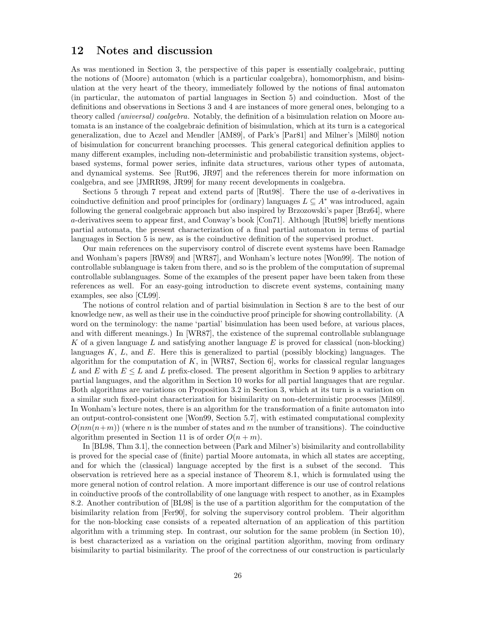#### **12 Notes and discussion**

As was mentioned in Section 3, the perspective of this paper is essentially coalgebraic, putting the notions of (Moore) automaton (which is a particular coalgebra), homomorphism, and bisimulation at the very heart of the theory, immediately followed by the notions of final automaton (in particular, the automaton of partial languages in Section 5) and coinduction. Most of the definitions and observations in Sections 3 and 4 are instances of more general ones, belonging to a theory called *(universal) coalgebra*. Notably, the definition of a bisimulation relation on Moore automata is an instance of the coalgebraic definition of bisimulation, which at its turn is a categorical generalization, due to Aczel and Mendler [AM89], of Park's [Par81] and Milner's [Mil80] notion of bisimulation for concurrent branching processes. This general categorical definition applies to many different examples, including non-deterministic and probabilistic transition systems, objectbased systems, formal power series, infinite data structures, various other types of automata, and dynamical systems. See [Rut96, JR97] and the references therein for more information on coalgebra, and see [JMRR98, JR99] for many recent developments in coalgebra.

Sections 5 through 7 repeat and extend parts of [Rut98]. There the use of  $a$ -derivatives in coinductive definition and proof principles for (ordinary) languages  $L \subseteq A^*$  was introduced, again following the general coalgebraic approach but also inspired by Brzozowski's paper [Brz64], where a-derivatives seem to appear first, and Conway's book [Con71]. Although [Rut98] briefly mentions partial automata, the present characterization of a final partial automaton in terms of partial languages in Section 5 is new, as is the coinductive definition of the supervised product.

Our main references on the supervisory control of discrete event systems have been Ramadge and Wonham's papers [RW89] and [WR87], and Wonham's lecture notes [Won99]. The notion of controllable sublanguage is taken from there, and so is the problem of the computation of supremal controllable sublanguages. Some of the examples of the present paper have been taken from these references as well. For an easy-going introduction to discrete event systems, containing many examples, see also [CL99].

The notions of control relation and of partial bisimulation in Section 8 are to the best of our knowledge new, as well as their use in the coinductive proof principle for showing controllability. (A word on the terminology: the name 'partial' bisimulation has been used before, at various places, and with different meanings.) In [WR87], the existence of the supremal controllable sublanguage  $K$  of a given language  $L$  and satisfying another language  $E$  is proved for classical (non-blocking) languages  $K, L$ , and  $E$ . Here this is generalized to partial (possibly blocking) languages. The algorithm for the computation of K, in [WR87, Section 6], works for classical regular languages L and E with  $E \leq L$  and L prefix-closed. The present algorithm in Section 9 applies to arbitrary partial languages, and the algorithm in Section 10 works for all partial languages that are regular. Both algorithms are variations on Proposition 3.2 in Section 3, which at its turn is a variation on a similar such fixed-point characterization for bisimilarity on non-deterministic processes [Mil89]. In Wonham's lecture notes, there is an algorithm for the transformation of a finite automaton into an output-control-consistent one [Won99, Section 5.7], with estimated computational complexity  $O(nm(n+m))$  (where n is the number of states and m the number of transitions). The coinductive algorithm presented in Section 11 is of order  $O(n+m)$ .

In [BL98, Thm 3.1], the connection between (Park and Milner's) bisimilarity and controllability is proved for the special case of (finite) partial Moore automata, in which all states are accepting, and for which the (classical) language accepted by the first is a subset of the second. This observation is retrieved here as a special instance of Theorem 8.1, which is formulated using the more general notion of control relation. A more important difference is our use of control relations in coinductive proofs of the controllability of one language with respect to another, as in Examples 8.2. Another contribution of [BL98] is the use of a partition algorithm for the computation of the bisimilarity relation from [Fer90], for solving the supervisory control problem. Their algorithm for the non-blocking case consists of a repeated alternation of an application of this partition algorithm with a trimming step. In contrast, our solution for the same problem (in Section 10), is best characterized as a variation on the original partition algorithm, moving from ordinary bisimilarity to partial bisimilarity. The proof of the correctness of our construction is particularly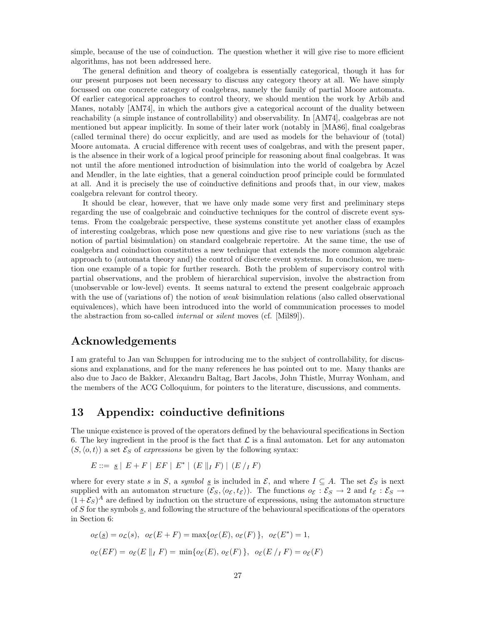simple, because of the use of coinduction. The question whether it will give rise to more efficient algorithms, has not been addressed here.

The general definition and theory of coalgebra is essentially categorical, though it has for our present purposes not been necessary to discuss any category theory at all. We have simply focussed on one concrete category of coalgebras, namely the family of partial Moore automata. Of earlier categorical approaches to control theory, we should mention the work by Arbib and Manes, notably [AM74], in which the authors give a categorical account of the duality between reachability (a simple instance of controllability) and observability. In [AM74], coalgebras are not mentioned but appear implicitly. In some of their later work (notably in [MA86], final coalgebras (called terminal there) do occur explicitly, and are used as models for the behaviour of (total) Moore automata. A crucial difference with recent uses of coalgebras, and with the present paper, is the absence in their work of a logical proof principle for reasoning about final coalgebras. It was not until the afore mentioned introduction of bisimulation into the world of coalgebra by Aczel and Mendler, in the late eighties, that a general coinduction proof principle could be formulated at all. And it is precisely the use of coinductive definitions and proofs that, in our view, makes coalgebra relevant for control theory.

It should be clear, however, that we have only made some very first and preliminary steps regarding the use of coalgebraic and coinductive techniques for the control of discrete event systems. From the coalgebraic perspective, these systems constitute yet another class of examples of interesting coalgebras, which pose new questions and give rise to new variations (such as the notion of partial bisimulation) on standard coalgebraic repertoire. At the same time, the use of coalgebra and coinduction constitutes a new technique that extends the more common algebraic approach to (automata theory and) the control of discrete event systems. In conclusion, we mention one example of a topic for further research. Both the problem of supervisory control with partial observations, and the problem of hierarchical supervision, involve the abstraction from (unobservable or low-level) events. It seems natural to extend the present coalgebraic approach with the use of (variations of) the notion of *weak* bisimulation relations (also called observational equivalences), which have been introduced into the world of communication processes to model the abstraction from so-called internal or silent moves (cf. [Mil89]).

#### **Acknowledgements**

I am grateful to Jan van Schuppen for introducing me to the subject of controllability, for discussions and explanations, and for the many references he has pointed out to me. Many thanks are also due to Jaco de Bakker, Alexandru Baltag, Bart Jacobs, John Thistle, Murray Wonham, and the members of the ACG Colloquium, for pointers to the literature, discussions, and comments.

#### **13 Appendix: coinductive definitions**

The unique existence is proved of the operators defined by the behavioural specifications in Section 6. The key ingredient in the proof is the fact that  $\mathcal L$  is a final automaton. Let for any automaton  $(S, \langle o, t \rangle)$  a set  $\mathcal{E}_S$  of expressions be given by the following syntax:

$$
E ::= g | E + F | EF | E^* | (E || I F) | (E / I F)
$$

where for every state s in S, a symbol s is included in  $\mathcal{E}$ , and where  $I \subseteq A$ . The set  $\mathcal{E}_S$  is next supplied with an automaton structure  $(\mathcal{E}_S,\langle o_{\mathcal{E}},t_{\mathcal{E}}\rangle)$ . The functions  $o_{\mathcal{E}} : \mathcal{E}_S \to 2$  and  $t_{\mathcal{E}} : \mathcal{E}_S \to$  $(1+\mathcal{E}_S)^A$  are defined by induction on the structure of expressions, using the automaton structure of S for the symbols  $s$ , and following the structure of the behavioural specifications of the operators in Section 6:

$$
o_{\mathcal{E}}(\underline{s}) = o_{\mathcal{L}}(s), \quad o_{\mathcal{E}}(E + F) = \max\{o_{\mathcal{E}}(E), o_{\mathcal{E}}(F)\}, \quad o_{\mathcal{E}}(E^*) = 1,
$$
  

$$
o_{\mathcal{E}}(EF) = o_{\mathcal{E}}(E \parallel_I F) = \min\{o_{\mathcal{E}}(E), o_{\mathcal{E}}(F)\}, \quad o_{\mathcal{E}}(E \mid_I F) = o_{\mathcal{E}}(F)
$$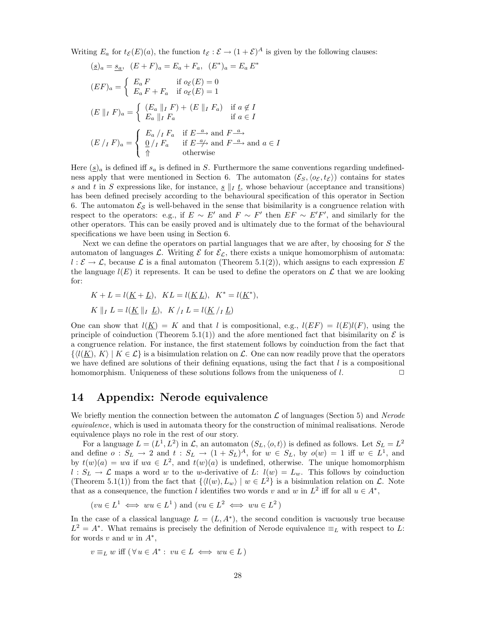Writing  $E_a$  for  $t_{\mathcal{E}}(E)(a)$ , the function  $t_{\mathcal{E}} : \mathcal{E} \to (1+\mathcal{E})^A$  is given by the following clauses:

$$
\begin{aligned}\n(\underline{s})_a &= \underline{s_a}, \quad (E + F)_a = E_a + F_a, \quad (E^*)_a = E_a E^* \\
(\underline{E}F)_a &= \begin{cases}\nE_a F & \text{if } o_{\mathcal{E}}(E) = 0 \\
E_a F + F_a & \text{if } o_{\mathcal{E}}(E) = 1\n\end{cases} \\
(\underline{E} \parallel_I F)_a &= \begin{cases}\n(E_a \parallel_I F) + (E \parallel_I F_a) & \text{if } a \notin I \\
E_a \parallel_I F_a & \text{if } a \in I\n\end{cases} \\
(\underline{E} / I F)_a &= \begin{cases}\nE_a / I F_a & \text{if } E \stackrel{a}{\longrightarrow} \text{and } F \stackrel{a}{\longrightarrow} \\
\frac{0}{\parallel} / I F_a & \text{if } E \stackrel{a}{\longrightarrow} \text{and } F \stackrel{a}{\longrightarrow} \text{and } a \in I\n\end{cases}\n\end{aligned}
$$

Here  $(\underline{s})_a$  is defined iff  $s_a$  is defined in S. Furthermore the same conventions regarding undefinedness apply that were mentioned in Section 6. The automaton  $(\mathcal{E}_S,\langle o_{\mathcal{E}},t_{\mathcal{E}})$  contains for states s and t in S expressions like, for instance,  $s \parallel t$ , whose behaviour (acceptance and transitions) has been defined precisely according to the behavioural specification of this operator in Section 6. The automaton  $\mathcal{E}_{\mathcal{S}}$  is well-behaved in the sense that bisimilarity is a congruence relation with respect to the operators: e.g., if  $E \sim E'$  and  $F \sim F'$  then  $EF \sim E'F'$ , and similarly for the other operators. This can be easily proved and is ultimately due to the format of the behavioural specifications we have been using in Section 6.

Next we can define the operators on partial languages that we are after, by choosing for S the automaton of languages L. Writing  $\mathcal E$  for  $\mathcal E_{\mathcal L}$ , there exists a unique homomorphism of automata:  $l : \mathcal{E} \to \mathcal{L}$ , because  $\mathcal{L}$  is a final automaton (Theorem 5.1(2)), which assigns to each expression E the language  $l(E)$  it represents. It can be used to define the operators on  $\mathcal L$  that we are looking for:

$$
K + L = l(\underline{K} + \underline{L}), \quad KL = l(\underline{K} \underline{L}), \quad K^* = l(\underline{K}^*),
$$
  

$$
K ||_I L = l(\underline{K} ||_I \underline{L}), \quad K /_I L = l(\underline{K} /_I \underline{L})
$$

One can show that  $l(K) = K$  and that l is compositional, e.g.,  $l(EF) = l(E)l(F)$ , using the principle of coinduction (Theorem 5.1(1)) and the afore mentioned fact that bisimilarity on  $\mathcal E$  is a congruence relation. For instance, the first statement follows by coinduction from the fact that  $\{\langle l(\underline{K}), K \rangle | K \in \mathcal{L}\}\$ is a bisimulation relation on  $\mathcal{L}$ . One can now readily prove that the operators we have defined are solutions of their defining equations, using the fact that  $l$  is a compositional homomorphism. Uniqueness of these solutions follows from the uniqueness of  $l$ .  $\Box$ 

#### **14 Appendix: Nerode equivalence**

We briefly mention the connection between the automaton  $\mathcal L$  of languages (Section 5) and Nerode equivalence, which is used in automata theory for the construction of minimal realisations. Nerode equivalence plays no role in the rest of our story.

For a language  $L = (L^1, L^2)$  in  $\mathcal{L}$ , an automaton  $(S_L, \langle o, t \rangle)$  is defined as follows. Let  $S_L = L^2$ and define  $o: S_L \to 2$  and  $t: S_L \to (1 + S_L)^A$ , for  $w \in S_L$ , by  $o(w) = 1$  iff  $w \in L^1$ , and by  $t(w)(a) = wa$  if  $wa \in L^2$ , and  $t(w)(a)$  is undefined, otherwise. The unique homomorphism  $l: S_L \to \mathcal{L}$  maps a word w to the w-derivative of L:  $l(w) = L_w$ . This follows by coinduction (Theorem 5.1(1)) from the fact that  $\{l(w), L_w\} | w \in L^2\}$  is a bisimulation relation on  $\mathcal{L}$ . Note that as a consequence, the function l identifies two words v and w in  $L^2$  iff for all  $u \in A^*$ ,

$$
(vu \in L^1 \iff wu \in L^1)
$$
 and  $(vu \in L^2 \iff wu \in L^2)$ 

In the case of a classical language  $L = (L, A^*)$ , the second condition is vacuously true because  $L^2 = A^*$ . What remains is precisely the definition of Nerode equivalence  $\equiv_L$  with respect to L: for words v and w in  $A^*$ ,

$$
v \equiv_L w \text{ iff } (\forall u \in A^* : vu \in L \iff wu \in L)
$$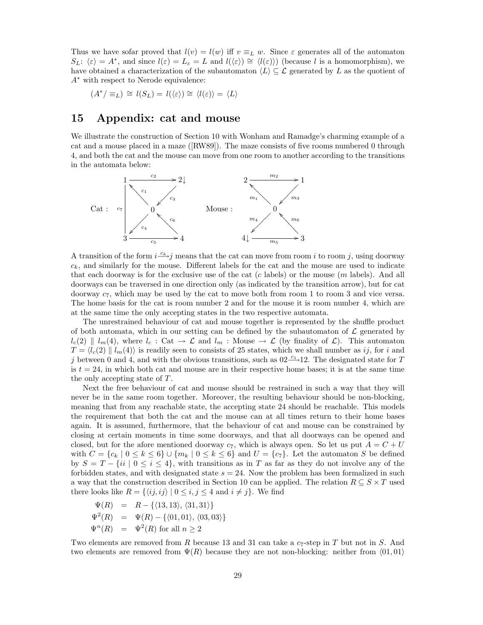Thus we have sofar proved that  $l(v) = l(w)$  iff  $v \equiv_L w$ . Since  $\varepsilon$  generates all of the automaton  $S_L: \langle \varepsilon \rangle = A^*$ , and since  $l(\varepsilon) = L_{\varepsilon} = L$  and  $l(\langle \varepsilon \rangle) \cong \langle l(\varepsilon) \rangle$  (because l is a homomorphism), we have obtained a characterization of the subautomaton  $\langle L \rangle \subseteq \mathcal{L}$  generated by L as the quotient of A<sup>∗</sup> with respect to Nerode equivalence:

$$
(A^*/ \equiv_L) \cong l(S_L) = l(\langle \varepsilon \rangle) \cong \langle l(\varepsilon) \rangle = \langle L \rangle
$$

#### **15 Appendix: cat and mouse**

We illustrate the construction of Section 10 with Wonham and Ramadge's charming example of a cat and a mouse placed in a maze ([RW89]). The maze consists of five rooms numbered 0 through 4, and both the cat and the mouse can move from one room to another according to the transitions in the automata below:



A transition of the form  $i\frac{-c_k}{j}$  means that the cat can move from room i to room j, using doorway  $c_k$ , and similarly for the mouse. Different labels for the cat and the mouse are used to indicate that each doorway is for the exclusive use of the cat  $(c \text{ labels})$  or the mouse  $(m \text{ labels})$ . And all doorways can be traversed in one direction only (as indicated by the transition arrow), but for cat doorway  $c_7$ , which may be used by the cat to move both from room 1 to room 3 and vice versa. The home basis for the cat is room number 2 and for the mouse it is room number 4, which are at the same time the only accepting states in the two respective automata.

The unrestrained behaviour of cat and mouse together is represented by the shuffle product of both automata, which in our setting can be defined by the subautomaton of  $\mathcal L$  generated by  $l_c(2) \parallel l_m(4)$ , where  $l_c : \text{Cat} \to \mathcal{L}$  and  $l_m : \text{Mouse} \to \mathcal{L}$  (by finality of  $\mathcal{L}$ ). This automaton  $T = \langle l_c(2) \parallel l_m(4) \rangle$  is readily seen to consists of 25 states, which we shall number as ij, for i and j between 0 and 4, and with the obvious transitions, such as  $02\frac{c_1}{c_2}$  12. The designated state for T is  $t = 24$ , in which both cat and mouse are in their respective home bases; it is at the same time the only accepting state of  $T$ .

Next the free behaviour of cat and mouse should be restrained in such a way that they will never be in the same room together. Moreover, the resulting behaviour should be non-blocking, meaning that from any reachable state, the accepting state 24 should be reachable. This models the requirement that both the cat and the mouse can at all times return to their home bases again. It is assumed, furthermore, that the behaviour of cat and mouse can be constrained by closing at certain moments in time some doorways, and that all doorways can be opened and closed, but for the afore mentioned doorway  $c_7$ , which is always open. So let us put  $A = C + U$ with  $C = \{c_k | 0 \le k \le 6\} \cup \{m_k | 0 \le k \le 6\}$  and  $U = \{c_7\}$ . Let the automaton S be defined by  $S = T - \{ii \mid 0 \le i \le 4\}$ , with transitions as in T as far as they do not involve any of the forbidden states, and with designated state  $s = 24$ . Now the problem has been formalized in such a way that the construction described in Section 10 can be applied. The relation  $R \subseteq S \times T$  used there looks like  $R = \{ \langle ij, ij \rangle | 0 \le i, j \le 4 \text{ and } i \ne j \}.$  We find

$$
\Psi(R) = R - \{(13, 13), \langle 31, 31 \rangle\}
$$
  
\n
$$
\Psi^2(R) = \Psi(R) - \{(01, 01), \langle 03, 03 \rangle\}
$$
  
\n
$$
\Psi^n(R) = \Psi^2(R) \text{ for all } n \ge 2
$$

Two elements are removed from R because 13 and 31 can take a  $c_7$ -step in T but not in S. And two elements are removed from  $\Psi(R)$  because they are not non-blocking: neither from  $\langle 01, 01 \rangle$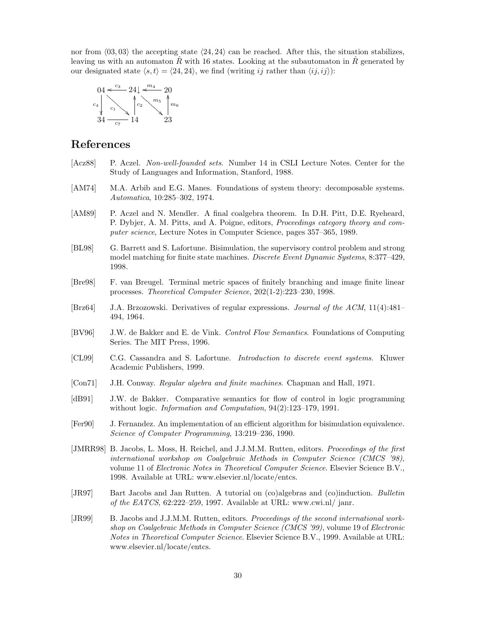nor from  $\langle 03, 03 \rangle$  the accepting state  $\langle 24, 24 \rangle$  can be reached. After this, the situation stabilizes, leaving us with an automaton  $\tilde{R}$  with 16 states. Looking at the subautomaton in  $\tilde{R}$  generated by our designated state  $\langle s, t \rangle = \langle 24, 24 \rangle$ , we find (writing ij rather than  $\langle i, i \rangle$ ):



# **References**

- [Acz88] P. Aczel. Non-well-founded sets. Number 14 in CSLI Lecture Notes. Center for the Study of Languages and Information, Stanford, 1988.
- [AM74] M.A. Arbib and E.G. Manes. Foundations of system theory: decomposable systems. Automatica, 10:285–302, 1974.
- [AM89] P. Aczel and N. Mendler. A final coalgebra theorem. In D.H. Pitt, D.E. Ryeheard, P. Dybjer, A. M. Pitts, and A. Poigne, editors, Proceedings category theory and computer science, Lecture Notes in Computer Science, pages 357–365, 1989.
- [BL98] G. Barrett and S. Lafortune. Bisimulation, the supervisory control problem and strong model matching for finite state machines. Discrete Event Dynamic Systems, 8:377–429, 1998.
- [Bre98] F. van Breugel. Terminal metric spaces of finitely branching and image finite linear processes. Theoretical Computer Science, 202(1-2):223–230, 1998.
- [Brz64] J.A. Brzozowski. Derivatives of regular expressions. Journal of the ACM, 11(4):481– 494, 1964.
- [BV96] J.W. de Bakker and E. de Vink. Control Flow Semantics. Foundations of Computing Series. The MIT Press, 1996.
- [CL99] C.G. Cassandra and S. Lafortune. Introduction to discrete event systems. Kluwer Academic Publishers, 1999.
- [Con71] J.H. Conway. Regular algebra and finite machines. Chapman and Hall, 1971.
- [dB91] J.W. de Bakker. Comparative semantics for flow of control in logic programming without logic. Information and Computation, 94(2):123–179, 1991.
- [Fer90] J. Fernandez. An implementation of an efficient algorithm for bisimulation equivalence. Science of Computer Programming, 13:219–236, 1990.
- [JMRR98] B. Jacobs, L. Moss, H. Reichel, and J.J.M.M. Rutten, editors. *Proceedings of the first* international workshop on Coalgebraic Methods in Computer Science (CMCS '98), volume 11 of Electronic Notes in Theoretical Computer Science. Elsevier Science B.V., 1998. Available at URL: www.elsevier.nl/locate/entcs.
- [JR97] Bart Jacobs and Jan Rutten. A tutorial on (co)algebras and (co)induction. Bulletin of the EATCS, 62:222–259, 1997. Available at URL: www.cwi.nl/ janr.
- [JR99] B. Jacobs and J.J.M.M. Rutten, editors. Proceedings of the second international workshop on Coalgebraic Methods in Computer Science (CMCS '99), volume 19 of Electronic Notes in Theoretical Computer Science. Elsevier Science B.V., 1999. Available at URL: www.elsevier.nl/locate/entcs.